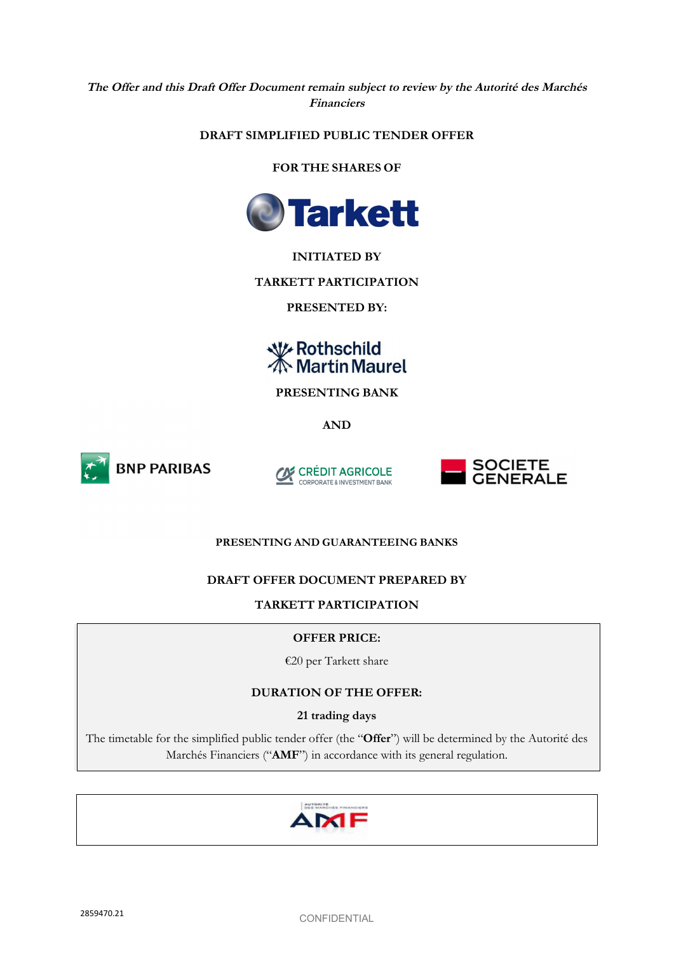**The Offer and this Draft Offer Document remain subject to review by the Autorité des Marchés Financiers** 

# **DRAFT SIMPLIFIED PUBLIC TENDER OFFER**

**FOR THE SHARES OF**



# **INITIATED BY**

**TARKETT PARTICIPATION** 

**PRESENTED BY:** 

# **W** Rothschild<br>**K** Martin Maurel

**PRESENTING BANK** 

**AND** 







## **PRESENTING AND GUARANTEEING BANKS**

# **DRAFT OFFER DOCUMENT PREPARED BY**

**TARKETT PARTICIPATION** 

## **OFFER PRICE:**

€20 per Tarkett share

# **DURATION OF THE OFFER:**

# **21 trading days**

The timetable for the simplified public tender offer (the "**Offer**") will be determined by the Autorité des Marchés Financiers ("**AMF**") in accordance with its general regulation.

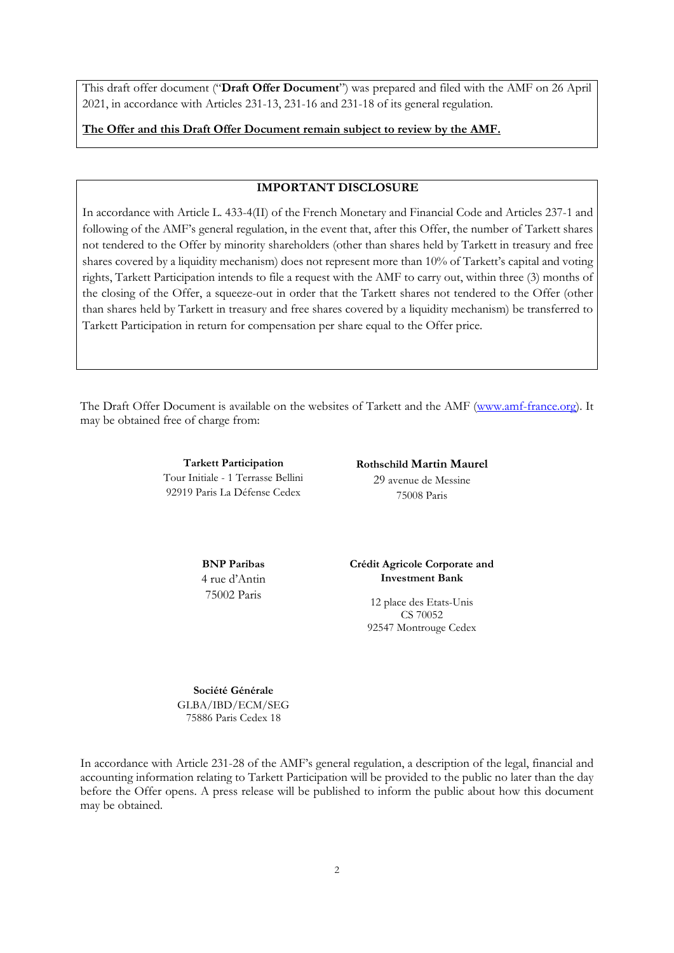This draft offer document ("**Draft Offer Document**") was prepared and filed with the AMF on 26 April 2021, in accordance with Articles 231-13, 231-16 and 231-18 of its general regulation.

**The Offer and this Draft Offer Document remain subject to review by the AMF.** 

#### **IMPORTANT DISCLOSURE**

In accordance with Article L. 433-4(II) of the French Monetary and Financial Code and Articles 237-1 and following of the AMF's general regulation, in the event that, after this Offer, the number of Tarkett shares not tendered to the Offer by minority shareholders (other than shares held by Tarkett in treasury and free shares covered by a liquidity mechanism) does not represent more than 10% of Tarkett's capital and voting rights, Tarkett Participation intends to file a request with the AMF to carry out, within three (3) months of the closing of the Offer, a squeeze-out in order that the Tarkett shares not tendered to the Offer (other than shares held by Tarkett in treasury and free shares covered by a liquidity mechanism) be transferred to Tarkett Participation in return for compensation per share equal to the Offer price.

The Draft Offer Document is available on the websites of Tarkett and the AMF (www.amf-france.org). It may be obtained free of charge from:

> **Tarkett Participation**  Tour Initiale - 1 Terrasse Bellini 92919 Paris La Défense Cedex

**Rothschild Martin Maurel**  29 avenue de Messine 75008 Paris

**BNP Paribas**  4 rue d'Antin 75002 Paris

**Crédit Agricole Corporate and Investment Bank** 

> 12 place des Etats-Unis CS 70052 92547 Montrouge Cedex

**Société Générale**  GLBA/IBD/ECM/SEG 75886 Paris Cedex 18

In accordance with Article 231-28 of the AMF's general regulation, a description of the legal, financial and accounting information relating to Tarkett Participation will be provided to the public no later than the day before the Offer opens. A press release will be published to inform the public about how this document may be obtained.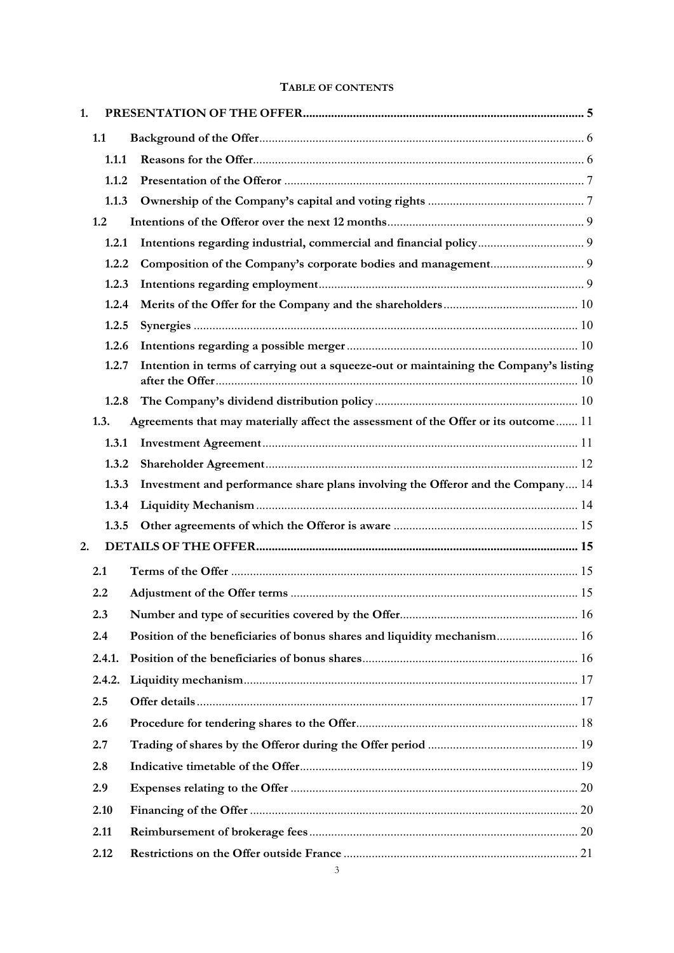# **TABLE OF CONTENTS**

| 1.     |       |                                                                                       |  |
|--------|-------|---------------------------------------------------------------------------------------|--|
| 1.1    |       |                                                                                       |  |
|        | 1.1.1 |                                                                                       |  |
|        | 1.1.2 |                                                                                       |  |
|        | 1.1.3 |                                                                                       |  |
| 1.2    |       |                                                                                       |  |
|        | 1.2.1 |                                                                                       |  |
|        | 1.2.2 |                                                                                       |  |
|        | 1.2.3 |                                                                                       |  |
|        | 1.2.4 |                                                                                       |  |
|        | 1.2.5 |                                                                                       |  |
|        | 1.2.6 |                                                                                       |  |
|        | 1.2.7 | Intention in terms of carrying out a squeeze-out or maintaining the Company's listing |  |
|        | 1.2.8 |                                                                                       |  |
| 1.3.   |       | Agreements that may materially affect the assessment of the Offer or its outcome 11   |  |
|        | 1.3.1 |                                                                                       |  |
|        | 1.3.2 |                                                                                       |  |
|        | 1.3.3 | Investment and performance share plans involving the Offeror and the Company 14       |  |
|        | 1.3.4 |                                                                                       |  |
|        | 1.3.5 |                                                                                       |  |
| 2.     |       |                                                                                       |  |
| 2.1    |       |                                                                                       |  |
| 2.2    |       |                                                                                       |  |
| 2.3    |       |                                                                                       |  |
| 2.4    |       | Position of the beneficiaries of bonus shares and liquidity mechanism 16              |  |
| 2.4.1. |       |                                                                                       |  |
| 2.4.2. |       |                                                                                       |  |
| 2.5    |       |                                                                                       |  |
| 2.6    |       |                                                                                       |  |
| 2.7    |       |                                                                                       |  |
| 2.8    |       |                                                                                       |  |
| 2.9    |       |                                                                                       |  |
| 2.10   |       |                                                                                       |  |
| 2.11   |       |                                                                                       |  |
| 2.12   |       |                                                                                       |  |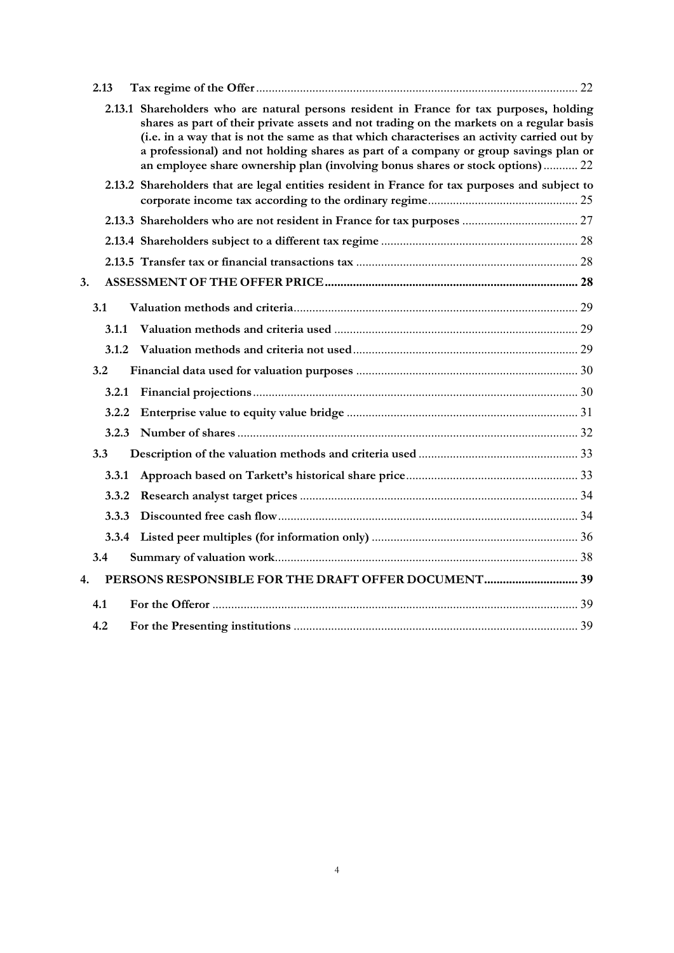| 2.13 |              |                                                                                                                                                                                                                                                                                                                                                                                                                                                             |  |
|------|--------------|-------------------------------------------------------------------------------------------------------------------------------------------------------------------------------------------------------------------------------------------------------------------------------------------------------------------------------------------------------------------------------------------------------------------------------------------------------------|--|
|      |              | 2.13.1 Shareholders who are natural persons resident in France for tax purposes, holding<br>shares as part of their private assets and not trading on the markets on a regular basis<br>(i.e. in a way that is not the same as that which characterises an activity carried out by<br>a professional) and not holding shares as part of a company or group savings plan or<br>an employee share ownership plan (involving bonus shares or stock options) 22 |  |
|      |              | 2.13.2 Shareholders that are legal entities resident in France for tax purposes and subject to                                                                                                                                                                                                                                                                                                                                                              |  |
|      |              |                                                                                                                                                                                                                                                                                                                                                                                                                                                             |  |
|      |              |                                                                                                                                                                                                                                                                                                                                                                                                                                                             |  |
|      |              |                                                                                                                                                                                                                                                                                                                                                                                                                                                             |  |
| 3.   |              |                                                                                                                                                                                                                                                                                                                                                                                                                                                             |  |
| 3.1  |              |                                                                                                                                                                                                                                                                                                                                                                                                                                                             |  |
|      | 3.1.1        |                                                                                                                                                                                                                                                                                                                                                                                                                                                             |  |
|      | 3.1.2        |                                                                                                                                                                                                                                                                                                                                                                                                                                                             |  |
| 3.2  |              |                                                                                                                                                                                                                                                                                                                                                                                                                                                             |  |
|      | 3.2.1        |                                                                                                                                                                                                                                                                                                                                                                                                                                                             |  |
|      | 3.2.2        |                                                                                                                                                                                                                                                                                                                                                                                                                                                             |  |
|      | 3.2.3        |                                                                                                                                                                                                                                                                                                                                                                                                                                                             |  |
| 3.3  |              |                                                                                                                                                                                                                                                                                                                                                                                                                                                             |  |
|      | <b>3.3.1</b> |                                                                                                                                                                                                                                                                                                                                                                                                                                                             |  |
|      | 3.3.2        |                                                                                                                                                                                                                                                                                                                                                                                                                                                             |  |
|      | 3.3.3        |                                                                                                                                                                                                                                                                                                                                                                                                                                                             |  |
|      | 3.3.4        |                                                                                                                                                                                                                                                                                                                                                                                                                                                             |  |
| 3.4  |              |                                                                                                                                                                                                                                                                                                                                                                                                                                                             |  |
| 4.   |              |                                                                                                                                                                                                                                                                                                                                                                                                                                                             |  |
| 4.1  |              |                                                                                                                                                                                                                                                                                                                                                                                                                                                             |  |
| 4.2  |              |                                                                                                                                                                                                                                                                                                                                                                                                                                                             |  |
|      |              |                                                                                                                                                                                                                                                                                                                                                                                                                                                             |  |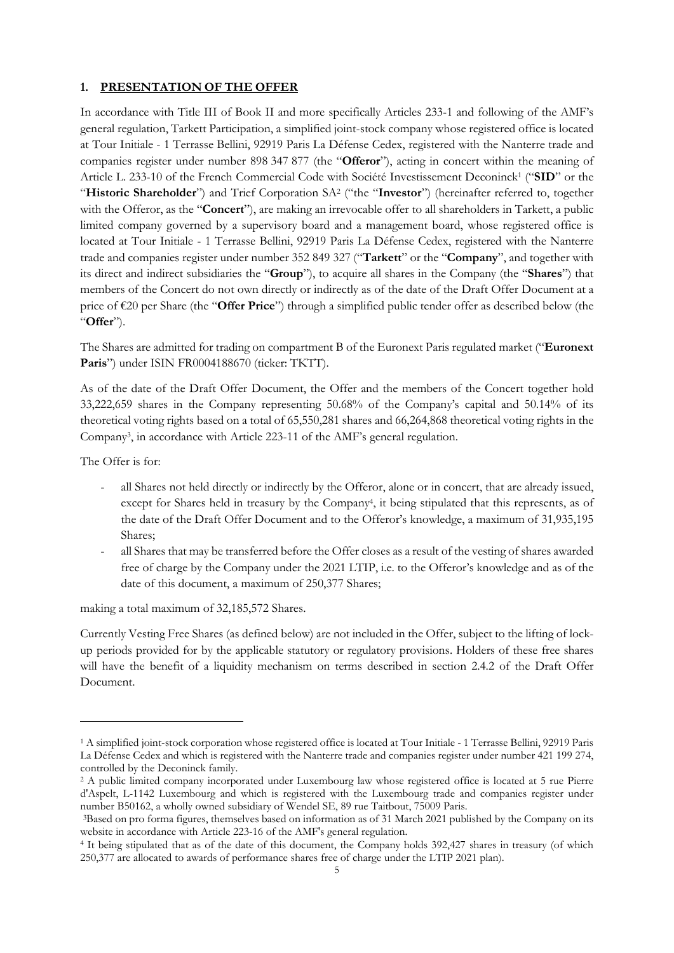## **1. PRESENTATION OF THE OFFER**

In accordance with Title III of Book II and more specifically Articles 233-1 and following of the AMF's general regulation, Tarkett Participation, a simplified joint-stock company whose registered office is located at Tour Initiale - 1 Terrasse Bellini, 92919 Paris La Défense Cedex, registered with the Nanterre trade and companies register under number 898 347 877 (the "**Offeror**"), acting in concert within the meaning of Article L. 233-10 of the French Commercial Code with Société Investissement Deconinck<sup>1</sup> ("**SID**" or the "Historic Shareholder") and Trief Corporation SA<sup>2</sup> ("the "Investor") (hereinafter referred to, together with the Offeror, as the "**Concert**"), are making an irrevocable offer to all shareholders in Tarkett, a public limited company governed by a supervisory board and a management board, whose registered office is located at Tour Initiale - 1 Terrasse Bellini, 92919 Paris La Défense Cedex, registered with the Nanterre trade and companies register under number 352 849 327 ("**Tarkett**" or the "**Company**", and together with its direct and indirect subsidiaries the "**Group**"), to acquire all shares in the Company (the "**Shares**") that members of the Concert do not own directly or indirectly as of the date of the Draft Offer Document at a price of €20 per Share (the "**Offer Price**") through a simplified public tender offer as described below (the "**Offer**").

The Shares are admitted for trading on compartment B of the Euronext Paris regulated market ("**Euronext**  Paris") under ISIN FR0004188670 (ticker: TKTT).

As of the date of the Draft Offer Document, the Offer and the members of the Concert together hold 33,222,659 shares in the Company representing 50.68% of the Company's capital and 50.14% of its theoretical voting rights based on a total of 65,550,281 shares and 66,264,868 theoretical voting rights in the Company<sup>3</sup> , in accordance with Article 223-11 of the AMF's general regulation.

The Offer is for:

- all Shares not held directly or indirectly by the Offeror, alone or in concert, that are already issued, except for Shares held in treasury by the Company<sup>4</sup>, it being stipulated that this represents, as of the date of the Draft Offer Document and to the Offeror's knowledge, a maximum of 31,935,195 Shares;
- all Shares that may be transferred before the Offer closes as a result of the vesting of shares awarded free of charge by the Company under the 2021 LTIP, i.e. to the Offeror's knowledge and as of the date of this document, a maximum of 250,377 Shares;

making a total maximum of 32,185,572 Shares.

Currently Vesting Free Shares (as defined below) are not included in the Offer, subject to the lifting of lockup periods provided for by the applicable statutory or regulatory provisions. Holders of these free shares will have the benefit of a liquidity mechanism on terms described in section 2.4.2 of the Draft Offer Document.

<sup>1</sup> A simplified joint-stock corporation whose registered office is located at Tour Initiale - 1 Terrasse Bellini, 92919 Paris La Défense Cedex and which is registered with the Nanterre trade and companies register under number 421 199 274, controlled by the Deconinck family.

<sup>2</sup> A public limited company incorporated under Luxembourg law whose registered office is located at 5 rue Pierre d'Aspelt, L-1142 Luxembourg and which is registered with the Luxembourg trade and companies register under number B50162, a wholly owned subsidiary of Wendel SE, 89 rue Taitbout, 75009 Paris.

<sup>3</sup>Based on pro forma figures, themselves based on information as of 31 March 2021 published by the Company on its website in accordance with Article 223-16 of the AMF's general regulation.

<sup>4</sup> It being stipulated that as of the date of this document, the Company holds 392,427 shares in treasury (of which 250,377 are allocated to awards of performance shares free of charge under the LTIP 2021 plan).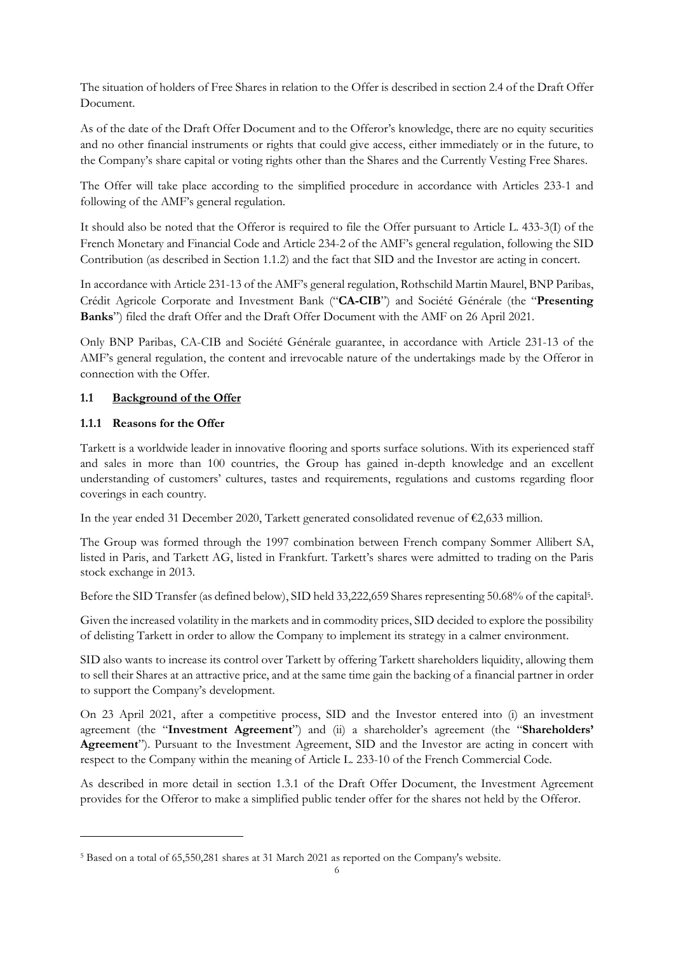The situation of holders of Free Shares in relation to the Offer is described in section 2.4 of the Draft Offer Document.

As of the date of the Draft Offer Document and to the Offeror's knowledge, there are no equity securities and no other financial instruments or rights that could give access, either immediately or in the future, to the Company's share capital or voting rights other than the Shares and the Currently Vesting Free Shares.

The Offer will take place according to the simplified procedure in accordance with Articles 233-1 and following of the AMF's general regulation.

It should also be noted that the Offeror is required to file the Offer pursuant to Article L. 433-3(I) of the French Monetary and Financial Code and Article 234-2 of the AMF's general regulation, following the SID Contribution (as described in Section 1.1.2) and the fact that SID and the Investor are acting in concert.

In accordance with Article 231-13 of the AMF's general regulation, Rothschild Martin Maurel, BNP Paribas, Crédit Agricole Corporate and Investment Bank ("**CA-CIB**") and Société Générale (the "**Presenting Banks**") filed the draft Offer and the Draft Offer Document with the AMF on 26 April 2021.

Only BNP Paribas, CA-CIB and Société Générale guarantee, in accordance with Article 231-13 of the AMF's general regulation, the content and irrevocable nature of the undertakings made by the Offeror in connection with the Offer.

# **1.1 Background of the Offer**

# **1.1.1 Reasons for the Offer**

Tarkett is a worldwide leader in innovative flooring and sports surface solutions. With its experienced staff and sales in more than 100 countries, the Group has gained in-depth knowledge and an excellent understanding of customers' cultures, tastes and requirements, regulations and customs regarding floor coverings in each country.

In the year ended 31 December 2020, Tarkett generated consolidated revenue of €2,633 million.

The Group was formed through the 1997 combination between French company Sommer Allibert SA, listed in Paris, and Tarkett AG, listed in Frankfurt. Tarkett's shares were admitted to trading on the Paris stock exchange in 2013.

Before the SID Transfer (as defined below), SID held 33,222,659 Shares representing 50.68% of the capital<sup>5</sup>.

Given the increased volatility in the markets and in commodity prices, SID decided to explore the possibility of delisting Tarkett in order to allow the Company to implement its strategy in a calmer environment.

SID also wants to increase its control over Tarkett by offering Tarkett shareholders liquidity, allowing them to sell their Shares at an attractive price, and at the same time gain the backing of a financial partner in order to support the Company's development.

On 23 April 2021, after a competitive process, SID and the Investor entered into (i) an investment agreement (the "**Investment Agreement**") and (ii) a shareholder's agreement (the "**Shareholders' Agreement**"). Pursuant to the Investment Agreement, SID and the Investor are acting in concert with respect to the Company within the meaning of Article L. 233-10 of the French Commercial Code.

As described in more detail in section 1.3.1 of the Draft Offer Document, the Investment Agreement provides for the Offeror to make a simplified public tender offer for the shares not held by the Offeror.

<sup>5</sup> Based on a total of 65,550,281 shares at 31 March 2021 as reported on the Company's website.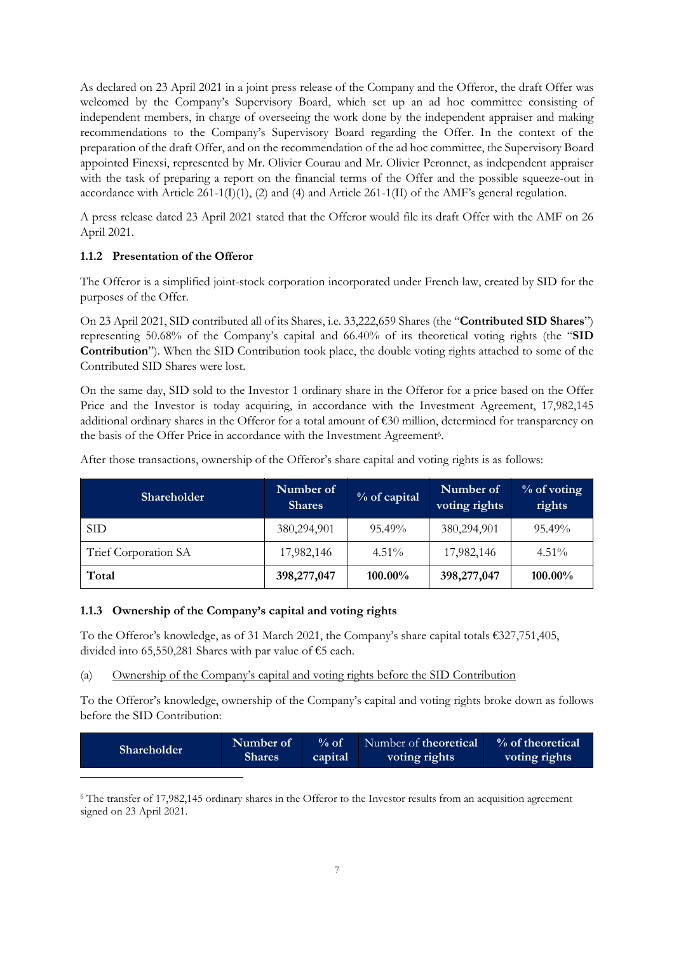As declared on 23 April 2021 in a joint press release of the Company and the Offeror, the draft Offer was welcomed by the Company's Supervisory Board, which set up an ad hoc committee consisting of independent members, in charge of overseeing the work done by the independent appraiser and making recommendations to the Company's Supervisory Board regarding the Offer. In the context of the preparation of the draft Offer, and on the recommendation of the ad hoc committee, the Supervisory Board appointed Finexsi, represented by Mr. Olivier Courau and Mr. Olivier Peronnet, as independent appraiser with the task of preparing a report on the financial terms of the Offer and the possible squeeze-out in accordance with Article 261-1(I)(1), (2) and (4) and Article 261-1(II) of the AMF's general regulation.

A press release dated 23 April 2021 stated that the Offeror would file its draft Offer with the AMF on 26 April 2021.

# **1.1.2 Presentation of the Offeror**

The Offeror is a simplified joint-stock corporation incorporated under French law, created by SID for the purposes of the Offer.

On 23 April 2021, SID contributed all of its Shares, i.e. 33,222,659 Shares (the "**Contributed SID Shares**") representing 50.68% of the Company's capital and 66.40% of its theoretical voting rights (the "**SID Contribution**"). When the SID Contribution took place, the double voting rights attached to some of the Contributed SID Shares were lost.

On the same day, SID sold to the Investor 1 ordinary share in the Offeror for a price based on the Offer Price and the Investor is today acquiring, in accordance with the Investment Agreement, 17,982,145 additional ordinary shares in the Offeror for a total amount of  $\epsilon$ 30 million, determined for transparency on the basis of the Offer Price in accordance with the Investment Agreement<sup>6</sup>.

| <b>Shareholder</b>   | Number of<br><b>Shares</b> | $%$ of capital | Number of<br>voting rights | $%$ of voting<br>rights |
|----------------------|----------------------------|----------------|----------------------------|-------------------------|
| <b>SID</b>           | 380,294,901                | $95.49\%$      | 380,294,901                | $95.49\%$               |
| Trief Corporation SA | 17,982,146                 | $4.51\%$       | 17,982,146                 | $4.51\%$                |
| Total                | 398,277,047                | 100.00%        | 398,277,047                | $100.00\%$              |

After those transactions, ownership of the Offeror's share capital and voting rights is as follows:

## **1.1.3 Ownership of the Company's capital and voting rights**

To the Offeror's knowledge, as of 31 March 2021, the Company's share capital totals €327,751,405, divided into 65,550,281 Shares with par value of €5 each.

(a) Ownership of the Company's capital and voting rights before the SID Contribution

To the Offeror's knowledge, ownership of the Company's capital and voting rights broke down as follows before the SID Contribution:

| Number of<br><b>Shareholder</b><br><b>Shares</b> | $%$ of<br>capital | Number of <b>theoretical</b><br>voting rights | % of theoretical<br>voting rights |
|--------------------------------------------------|-------------------|-----------------------------------------------|-----------------------------------|
|--------------------------------------------------|-------------------|-----------------------------------------------|-----------------------------------|

<sup>6</sup> The transfer of 17,982,145 ordinary shares in the Offeror to the Investor results from an acquisition agreement signed on 23 April 2021.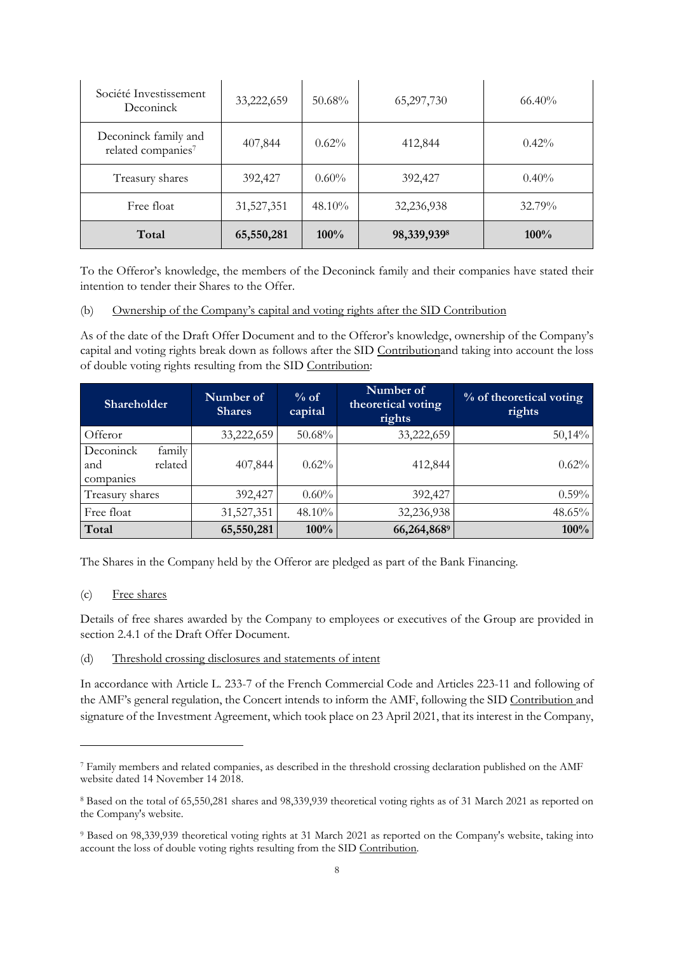| Société Investissement<br>Deconinck                    | 33,222,659 | $50.68\%$ | 65,297,730  | $66.40\%$ |
|--------------------------------------------------------|------------|-----------|-------------|-----------|
| Deconinck family and<br>related companies <sup>7</sup> | 407,844    | $0.62\%$  | 412,844     | $0.42\%$  |
| Treasury shares                                        | 392,427    | $0.60\%$  | 392,427     | $0.40\%$  |
| Free float                                             | 31,527,351 | $48.10\%$ | 32,236,938  | 32.79%    |
| Total                                                  | 65,550,281 | 100%      | 98,339,9398 | $100\%$   |

To the Offeror's knowledge, the members of the Deconinck family and their companies have stated their intention to tender their Shares to the Offer.

(b) Ownership of the Company's capital and voting rights after the SID Contribution

As of the date of the Draft Offer Document and to the Offeror's knowledge, ownership of the Company's capital and voting rights break down as follows after the SID Contributionand taking into account the loss of double voting rights resulting from the SID Contribution:

| Shareholder                                        | Number of<br><b>Shares</b> | % of<br>capital | Number of<br>theoretical voting<br>rights | % of theoretical voting<br>rights |
|----------------------------------------------------|----------------------------|-----------------|-------------------------------------------|-----------------------------------|
| Offeror                                            | 33,222,659                 | 50.68%          | 33,222,659                                | 50,14%                            |
| family<br>Deconinck<br>related<br>and<br>companies | 407,844                    | $0.62\%$        | 412,844                                   | 0.62%                             |
| Treasury shares                                    | 392,427                    | $0.60\%$        | 392,427                                   | $0.59\%$                          |
| Free float                                         | 31,527,351                 | $48.10\%$       | 32,236,938                                | 48.65%                            |
| Total                                              | 65,550,281                 | $100\%$         | 66,264,8689                               | 100%                              |

The Shares in the Company held by the Offeror are pledged as part of the Bank Financing.

(c) Free shares

Details of free shares awarded by the Company to employees or executives of the Group are provided in section 2.4.1 of the Draft Offer Document.

(d) Threshold crossing disclosures and statements of intent

In accordance with Article L. 233-7 of the French Commercial Code and Articles 223-11 and following of the AMF's general regulation, the Concert intends to inform the AMF, following the SID Contribution and signature of the Investment Agreement, which took place on 23 April 2021, that its interest in the Company,

<sup>7</sup> Family members and related companies, as described in the threshold crossing declaration published on the AMF website dated 14 November 14 2018.

<sup>8</sup> Based on the total of 65,550,281 shares and 98,339,939 theoretical voting rights as of 31 March 2021 as reported on the Company's website.

<sup>9</sup> Based on 98,339,939 theoretical voting rights at 31 March 2021 as reported on the Company's website, taking into account the loss of double voting rights resulting from the SID Contribution.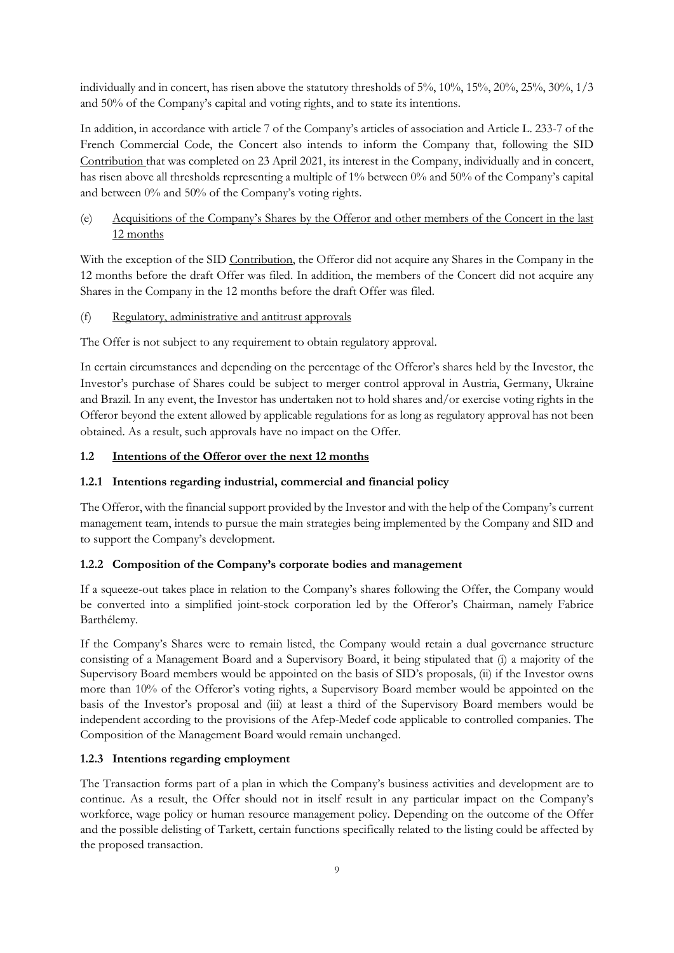individually and in concert, has risen above the statutory thresholds of 5%, 10%, 15%, 20%, 25%, 30%, 1/3 and 50% of the Company's capital and voting rights, and to state its intentions.

In addition, in accordance with article 7 of the Company's articles of association and Article L. 233-7 of the French Commercial Code, the Concert also intends to inform the Company that, following the SID Contribution that was completed on 23 April 2021, its interest in the Company, individually and in concert, has risen above all thresholds representing a multiple of 1% between 0% and 50% of the Company's capital and between 0% and 50% of the Company's voting rights.

# (e) Acquisitions of the Company's Shares by the Offeror and other members of the Concert in the last 12 months

With the exception of the SID Contribution, the Offeror did not acquire any Shares in the Company in the 12 months before the draft Offer was filed. In addition, the members of the Concert did not acquire any Shares in the Company in the 12 months before the draft Offer was filed.

(f) Regulatory, administrative and antitrust approvals

The Offer is not subject to any requirement to obtain regulatory approval.

In certain circumstances and depending on the percentage of the Offeror's shares held by the Investor, the Investor's purchase of Shares could be subject to merger control approval in Austria, Germany, Ukraine and Brazil*.* In any event, the Investor has undertaken not to hold shares and/or exercise voting rights in the Offeror beyond the extent allowed by applicable regulations for as long as regulatory approval has not been obtained. As a result, such approvals have no impact on the Offer.

# **1.2 Intentions of the Offeror over the next 12 months**

## **1.2.1 Intentions regarding industrial, commercial and financial policy**

The Offeror, with the financial support provided by the Investor and with the help of the Company's current management team, intends to pursue the main strategies being implemented by the Company and SID and to support the Company's development.

## **1.2.2 Composition of the Company's corporate bodies and management**

If a squeeze-out takes place in relation to the Company's shares following the Offer, the Company would be converted into a simplified joint-stock corporation led by the Offeror's Chairman, namely Fabrice Barthélemy.

If the Company's Shares were to remain listed, the Company would retain a dual governance structure consisting of a Management Board and a Supervisory Board, it being stipulated that (i) a majority of the Supervisory Board members would be appointed on the basis of SID's proposals, (ii) if the Investor owns more than 10% of the Offeror's voting rights, a Supervisory Board member would be appointed on the basis of the Investor's proposal and (iii) at least a third of the Supervisory Board members would be independent according to the provisions of the Afep-Medef code applicable to controlled companies. The Composition of the Management Board would remain unchanged.

## **1.2.3 Intentions regarding employment**

The Transaction forms part of a plan in which the Company's business activities and development are to continue. As a result, the Offer should not in itself result in any particular impact on the Company's workforce, wage policy or human resource management policy. Depending on the outcome of the Offer and the possible delisting of Tarkett, certain functions specifically related to the listing could be affected by the proposed transaction.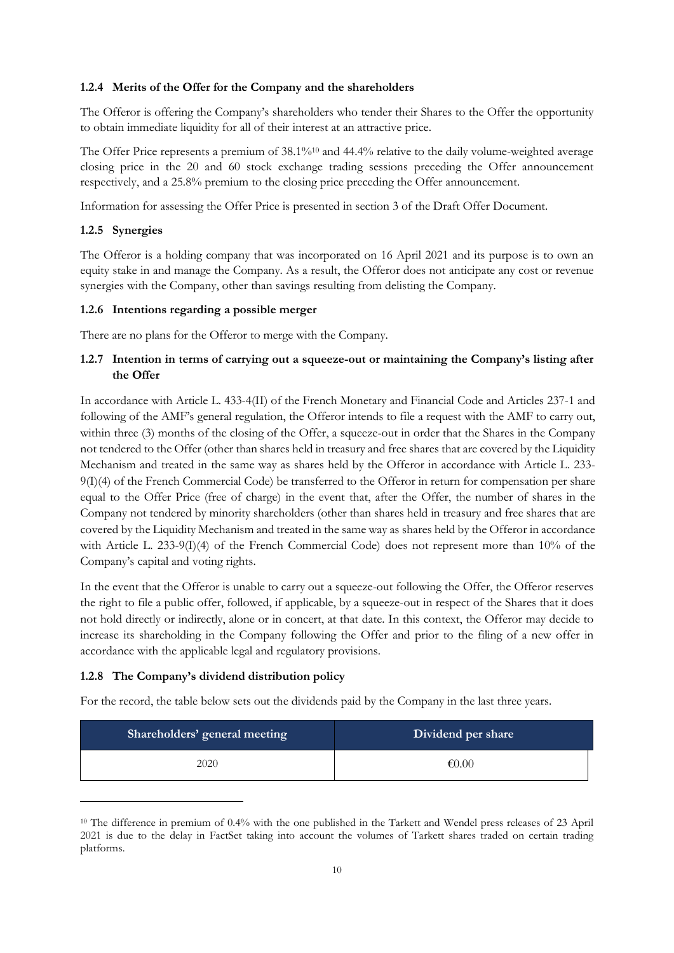#### **1.2.4 Merits of the Offer for the Company and the shareholders**

The Offeror is offering the Company's shareholders who tender their Shares to the Offer the opportunity to obtain immediate liquidity for all of their interest at an attractive price.

The Offer Price represents a premium of  $38.1\%$ <sup>10</sup> and  $44.4\%$  relative to the daily volume-weighted average closing price in the 20 and 60 stock exchange trading sessions preceding the Offer announcement respectively, and a 25.8% premium to the closing price preceding the Offer announcement.

Information for assessing the Offer Price is presented in section 3 of the Draft Offer Document.

## **1.2.5 Synergies**

The Offeror is a holding company that was incorporated on 16 April 2021 and its purpose is to own an equity stake in and manage the Company. As a result, the Offeror does not anticipate any cost or revenue synergies with the Company, other than savings resulting from delisting the Company.

#### **1.2.6 Intentions regarding a possible merger**

There are no plans for the Offeror to merge with the Company.

# **1.2.7 Intention in terms of carrying out a squeeze-out or maintaining the Company's listing after the Offer**

In accordance with Article L. 433-4(II) of the French Monetary and Financial Code and Articles 237-1 and following of the AMF's general regulation, the Offeror intends to file a request with the AMF to carry out, within three (3) months of the closing of the Offer, a squeeze-out in order that the Shares in the Company not tendered to the Offer (other than shares held in treasury and free shares that are covered by the Liquidity Mechanism and treated in the same way as shares held by the Offeror in accordance with Article L. 233- 9(I)(4) of the French Commercial Code) be transferred to the Offeror in return for compensation per share equal to the Offer Price (free of charge) in the event that, after the Offer, the number of shares in the Company not tendered by minority shareholders (other than shares held in treasury and free shares that are covered by the Liquidity Mechanism and treated in the same way as shares held by the Offeror in accordance with Article L. 233-9(I)(4) of the French Commercial Code) does not represent more than 10% of the Company's capital and voting rights.

In the event that the Offeror is unable to carry out a squeeze-out following the Offer, the Offeror reserves the right to file a public offer, followed, if applicable, by a squeeze-out in respect of the Shares that it does not hold directly or indirectly, alone or in concert, at that date. In this context, the Offeror may decide to increase its shareholding in the Company following the Offer and prior to the filing of a new offer in accordance with the applicable legal and regulatory provisions.

#### **1.2.8 The Company's dividend distribution policy**

For the record, the table below sets out the dividends paid by the Company in the last three years.

| Shareholders' general meeting | Dividend per share |
|-------------------------------|--------------------|
| 2020                          | € $0.00$           |

<sup>&</sup>lt;sup>10</sup> The difference in premium of 0.4% with the one published in the Tarkett and Wendel press releases of 23 April 2021 is due to the delay in FactSet taking into account the volumes of Tarkett shares traded on certain trading platforms.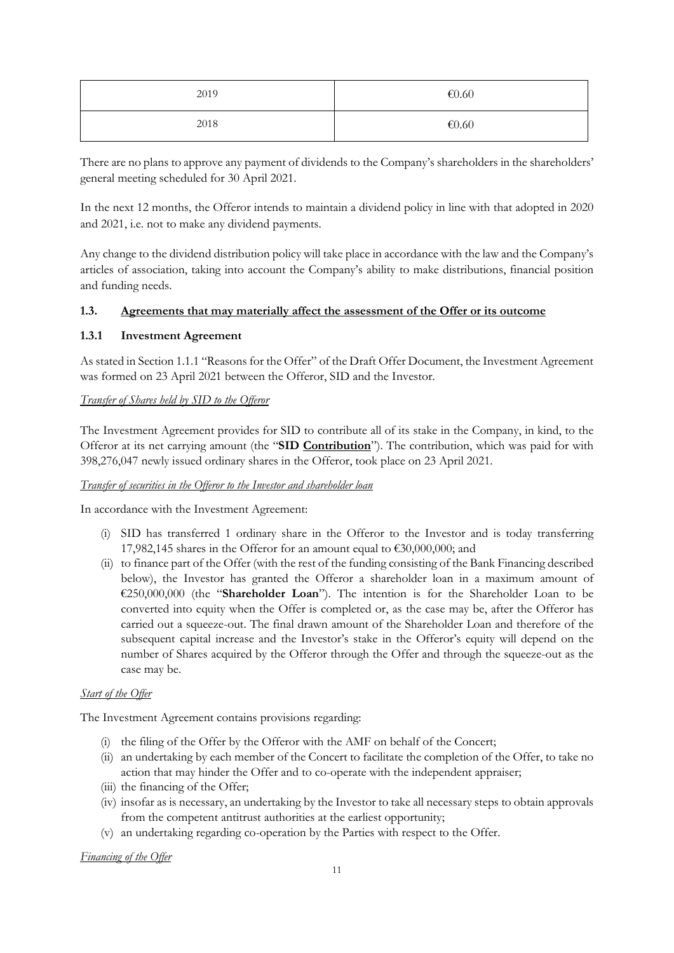| 2019 | € $0.60$ |
|------|----------|
| 2018 | € $0.60$ |

There are no plans to approve any payment of dividends to the Company's shareholders in the shareholders' general meeting scheduled for 30 April 2021.

In the next 12 months, the Offeror intends to maintain a dividend policy in line with that adopted in 2020 and 2021, i.e. not to make any dividend payments.

Any change to the dividend distribution policy will take place in accordance with the law and the Company's articles of association, taking into account the Company's ability to make distributions, financial position and funding needs.

## **1.3. Agreements that may materially affect the assessment of the Offer or its outcome**

## **1.3.1 Investment Agreement**

As stated in Section 1.1.1 "Reasons for the Offer" of the Draft Offer Document, the Investment Agreement was formed on 23 April 2021 between the Offeror, SID and the Investor.

# *Transfer of Shares held by SID to the Offeror*

The Investment Agreement provides for SID to contribute all of its stake in the Company, in kind, to the Offeror at its net carrying amount (the "**SID Contribution**"). The contribution, which was paid for with 398,276,047 newly issued ordinary shares in the Offeror, took place on 23 April 2021.

## *Transfer of securities in the Offeror to the Investor and shareholder loan*

In accordance with the Investment Agreement:

- (i) SID has transferred 1 ordinary share in the Offeror to the Investor and is today transferring 17,982,145 shares in the Offeror for an amount equal to €30,000,000; and
- (ii) to finance part of the Offer (with the rest of the funding consisting of the Bank Financing described below), the Investor has granted the Offeror a shareholder loan in a maximum amount of €250,000,000 (the "**Shareholder Loan**"). The intention is for the Shareholder Loan to be converted into equity when the Offer is completed or, as the case may be, after the Offeror has carried out a squeeze-out. The final drawn amount of the Shareholder Loan and therefore of the subsequent capital increase and the Investor's stake in the Offeror's equity will depend on the number of Shares acquired by the Offeror through the Offer and through the squeeze-out as the case may be.

# *Start of the Offer*

The Investment Agreement contains provisions regarding:

- (i) the filing of the Offer by the Offeror with the AMF on behalf of the Concert;
- (ii) an undertaking by each member of the Concert to facilitate the completion of the Offer, to take no action that may hinder the Offer and to co-operate with the independent appraiser;
- (iii) the financing of the Offer;
- (iv) insofar as is necessary, an undertaking by the Investor to take all necessary steps to obtain approvals from the competent antitrust authorities at the earliest opportunity;
- (v) an undertaking regarding co-operation by the Parties with respect to the Offer.

*Financing of the Offer*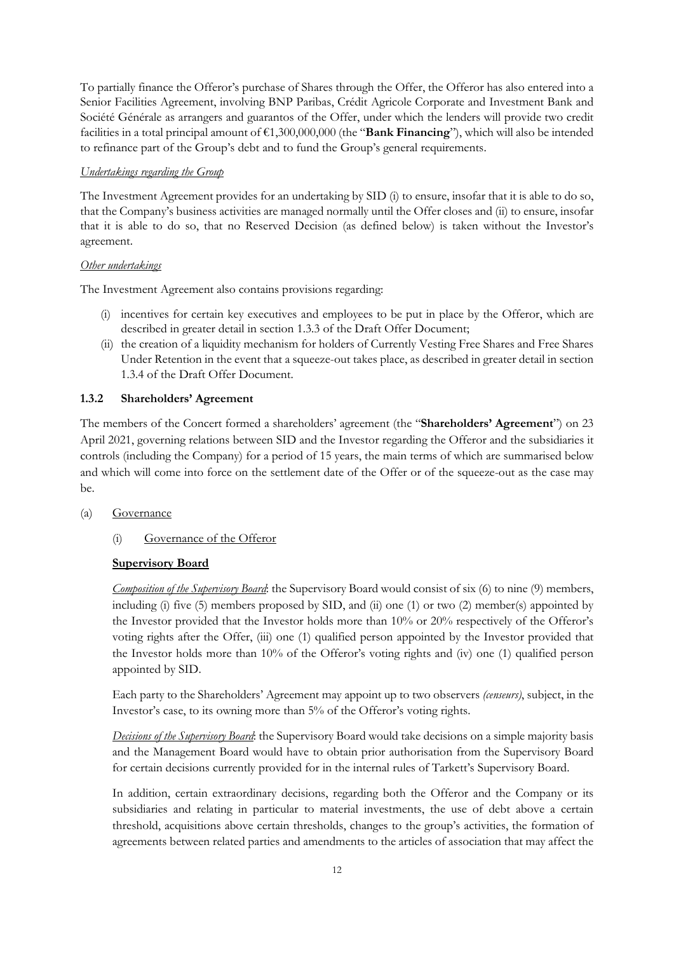To partially finance the Offeror's purchase of Shares through the Offer, the Offeror has also entered into a Senior Facilities Agreement, involving BNP Paribas, Crédit Agricole Corporate and Investment Bank and Société Générale as arrangers and guarantos of the Offer, under which the lenders will provide two credit facilities in a total principal amount of €1,300,000,000 (the "**Bank Financing**"), which will also be intended to refinance part of the Group's debt and to fund the Group's general requirements.

#### *Undertakings regarding the Group*

The Investment Agreement provides for an undertaking by SID (i) to ensure, insofar that it is able to do so, that the Company's business activities are managed normally until the Offer closes and (ii) to ensure, insofar that it is able to do so, that no Reserved Decision (as defined below) is taken without the Investor's agreement.

#### *Other undertakings*

The Investment Agreement also contains provisions regarding:

- (i) incentives for certain key executives and employees to be put in place by the Offeror, which are described in greater detail in section 1.3.3 of the Draft Offer Document;
- (ii) the creation of a liquidity mechanism for holders of Currently Vesting Free Shares and Free Shares Under Retention in the event that a squeeze-out takes place, as described in greater detail in section 1.3.4 of the Draft Offer Document.

#### **1.3.2 Shareholders' Agreement**

The members of the Concert formed a shareholders' agreement (the "**Shareholders' Agreement**") on 23 April 2021, governing relations between SID and the Investor regarding the Offeror and the subsidiaries it controls (including the Company) for a period of 15 years, the main terms of which are summarised below and which will come into force on the settlement date of the Offer or of the squeeze-out as the case may be.

## (a) Governance

(i) Governance of the Offeror

## **Supervisory Board**

*Composition of the Supervisory Board*: the Supervisory Board would consist of six (6) to nine (9) members, including (i) five (5) members proposed by SID, and (ii) one (1) or two (2) member(s) appointed by the Investor provided that the Investor holds more than 10% or 20% respectively of the Offeror's voting rights after the Offer, (iii) one (1) qualified person appointed by the Investor provided that the Investor holds more than 10% of the Offeror's voting rights and (iv) one (1) qualified person appointed by SID.

Each party to the Shareholders' Agreement may appoint up to two observers *(censeurs)*, subject, in the Investor's case, to its owning more than 5% of the Offeror's voting rights.

*Decisions of the Supervisory Board*: the Supervisory Board would take decisions on a simple majority basis and the Management Board would have to obtain prior authorisation from the Supervisory Board for certain decisions currently provided for in the internal rules of Tarkett's Supervisory Board.

In addition, certain extraordinary decisions, regarding both the Offeror and the Company or its subsidiaries and relating in particular to material investments, the use of debt above a certain threshold, acquisitions above certain thresholds, changes to the group's activities, the formation of agreements between related parties and amendments to the articles of association that may affect the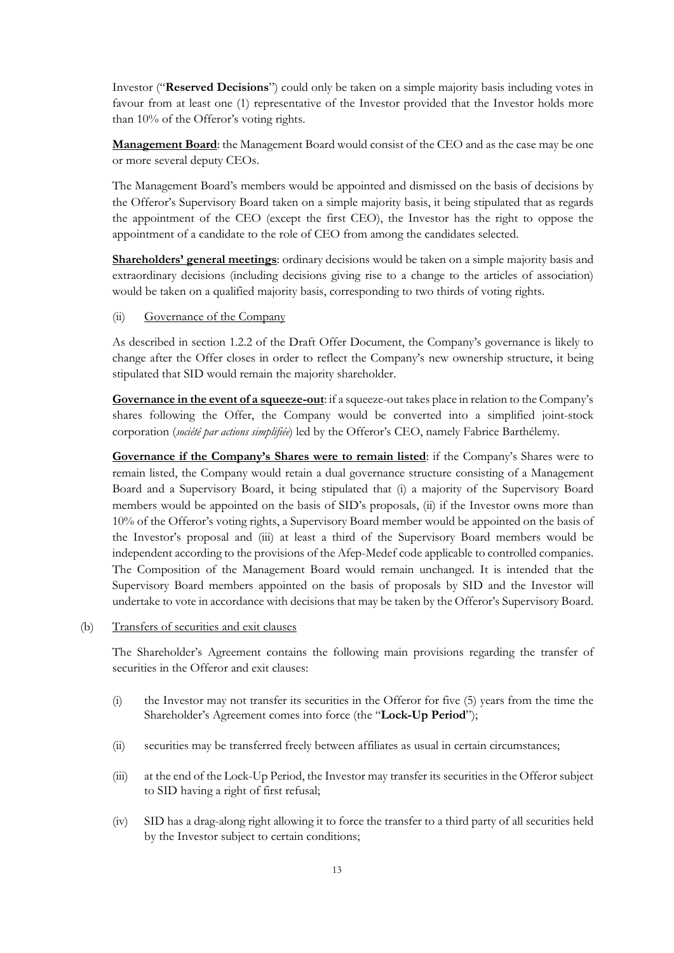Investor ("**Reserved Decisions**") could only be taken on a simple majority basis including votes in favour from at least one (1) representative of the Investor provided that the Investor holds more than 10% of the Offeror's voting rights.

**Management Board**: the Management Board would consist of the CEO and as the case may be one or more several deputy CEOs.

The Management Board's members would be appointed and dismissed on the basis of decisions by the Offeror's Supervisory Board taken on a simple majority basis, it being stipulated that as regards the appointment of the CEO (except the first CEO), the Investor has the right to oppose the appointment of a candidate to the role of CEO from among the candidates selected.

**Shareholders' general meetings**: ordinary decisions would be taken on a simple majority basis and extraordinary decisions (including decisions giving rise to a change to the articles of association) would be taken on a qualified majority basis, corresponding to two thirds of voting rights.

#### (ii) Governance of the Company

As described in section 1.2.2 of the Draft Offer Document, the Company's governance is likely to change after the Offer closes in order to reflect the Company's new ownership structure, it being stipulated that SID would remain the majority shareholder.

**Governance in the event of a squeeze-out**: if a squeeze-out takes place in relation to the Company's shares following the Offer, the Company would be converted into a simplified joint-stock corporation (*société par actions simplifiée*) led by the Offeror's CEO, namely Fabrice Barthélemy.

**Governance if the Company's Shares were to remain listed**: if the Company's Shares were to remain listed, the Company would retain a dual governance structure consisting of a Management Board and a Supervisory Board, it being stipulated that (i) a majority of the Supervisory Board members would be appointed on the basis of SID's proposals, (ii) if the Investor owns more than 10% of the Offeror's voting rights, a Supervisory Board member would be appointed on the basis of the Investor's proposal and (iii) at least a third of the Supervisory Board members would be independent according to the provisions of the Afep-Medef code applicable to controlled companies. The Composition of the Management Board would remain unchanged. It is intended that the Supervisory Board members appointed on the basis of proposals by SID and the Investor will undertake to vote in accordance with decisions that may be taken by the Offeror's Supervisory Board.

#### (b) Transfers of securities and exit clauses

The Shareholder's Agreement contains the following main provisions regarding the transfer of securities in the Offeror and exit clauses:

- (i) the Investor may not transfer its securities in the Offeror for five (5) years from the time the Shareholder's Agreement comes into force (the "**Lock-Up Period**");
- (ii) securities may be transferred freely between affiliates as usual in certain circumstances;
- (iii) at the end of the Lock-Up Period, the Investor may transfer its securities in the Offeror subject to SID having a right of first refusal;
- (iv) SID has a drag-along right allowing it to force the transfer to a third party of all securities held by the Investor subject to certain conditions;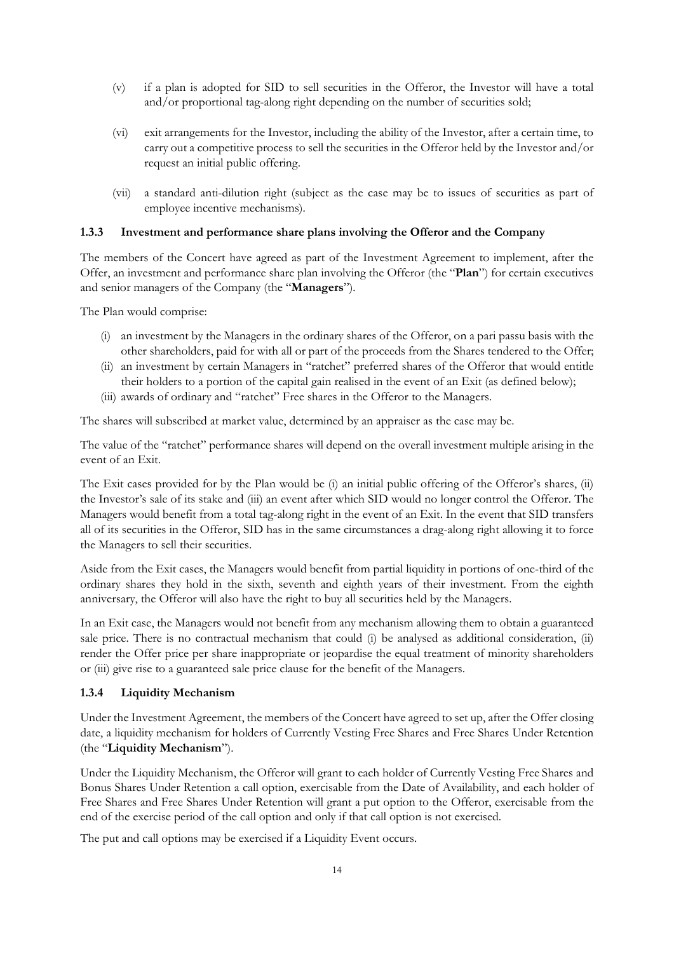- (v) if a plan is adopted for SID to sell securities in the Offeror, the Investor will have a total and/or proportional tag-along right depending on the number of securities sold;
- (vi) exit arrangements for the Investor, including the ability of the Investor, after a certain time, to carry out a competitive process to sell the securities in the Offeror held by the Investor and/or request an initial public offering.
- (vii) a standard anti-dilution right (subject as the case may be to issues of securities as part of employee incentive mechanisms).

#### **1.3.3 Investment and performance share plans involving the Offeror and the Company**

The members of the Concert have agreed as part of the Investment Agreement to implement, after the Offer, an investment and performance share plan involving the Offeror (the "**Plan**") for certain executives and senior managers of the Company (the "**Managers**").

The Plan would comprise:

- (i) an investment by the Managers in the ordinary shares of the Offeror, on a pari passu basis with the other shareholders, paid for with all or part of the proceeds from the Shares tendered to the Offer;
- (ii) an investment by certain Managers in "ratchet" preferred shares of the Offeror that would entitle their holders to a portion of the capital gain realised in the event of an Exit (as defined below);
- (iii) awards of ordinary and "ratchet" Free shares in the Offeror to the Managers.

The shares will subscribed at market value, determined by an appraiser as the case may be.

The value of the "ratchet" performance shares will depend on the overall investment multiple arising in the event of an Exit.

The Exit cases provided for by the Plan would be (i) an initial public offering of the Offeror's shares, (ii) the Investor's sale of its stake and (iii) an event after which SID would no longer control the Offeror. The Managers would benefit from a total tag-along right in the event of an Exit. In the event that SID transfers all of its securities in the Offeror, SID has in the same circumstances a drag-along right allowing it to force the Managers to sell their securities.

Aside from the Exit cases, the Managers would benefit from partial liquidity in portions of one-third of the ordinary shares they hold in the sixth, seventh and eighth years of their investment. From the eighth anniversary, the Offeror will also have the right to buy all securities held by the Managers.

In an Exit case, the Managers would not benefit from any mechanism allowing them to obtain a guaranteed sale price. There is no contractual mechanism that could (i) be analysed as additional consideration, (ii) render the Offer price per share inappropriate or jeopardise the equal treatment of minority shareholders or (iii) give rise to a guaranteed sale price clause for the benefit of the Managers.

#### **1.3.4 Liquidity Mechanism**

Under the Investment Agreement, the members of the Concert have agreed to set up, after the Offer closing date, a liquidity mechanism for holders of Currently Vesting Free Shares and Free Shares Under Retention (the "**Liquidity Mechanism**").

Under the Liquidity Mechanism, the Offeror will grant to each holder of Currently Vesting Free Shares and Bonus Shares Under Retention a call option, exercisable from the Date of Availability, and each holder of Free Shares and Free Shares Under Retention will grant a put option to the Offeror, exercisable from the end of the exercise period of the call option and only if that call option is not exercised.

The put and call options may be exercised if a Liquidity Event occurs.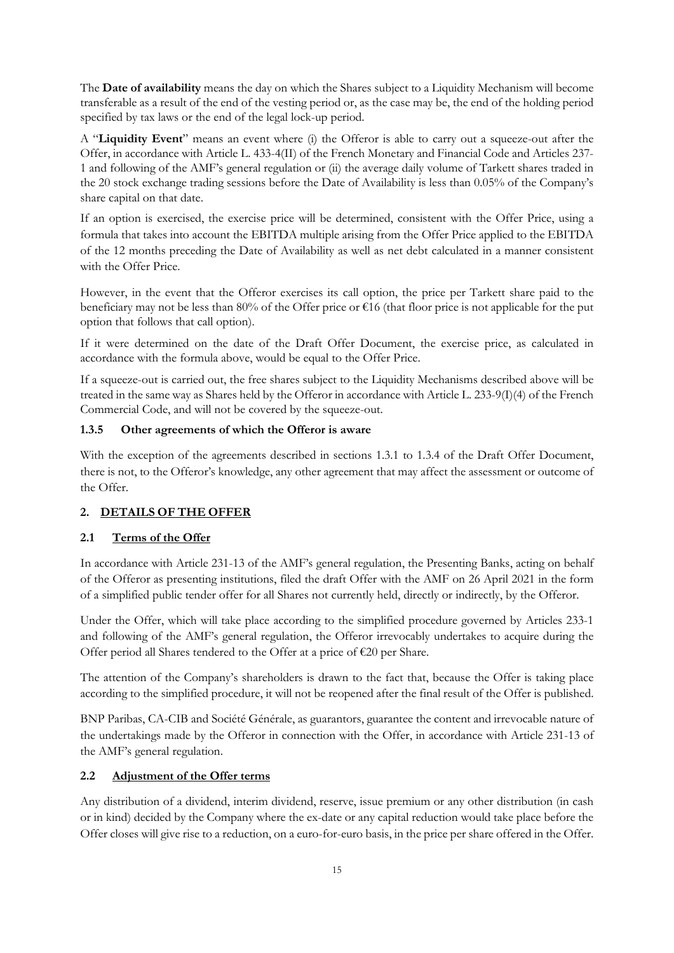The **Date of availability** means the day on which the Shares subject to a Liquidity Mechanism will become transferable as a result of the end of the vesting period or, as the case may be, the end of the holding period specified by tax laws or the end of the legal lock-up period.

A "**Liquidity Event**" means an event where (i) the Offeror is able to carry out a squeeze-out after the Offer, in accordance with Article L. 433-4(II) of the French Monetary and Financial Code and Articles 237- 1 and following of the AMF's general regulation or (ii) the average daily volume of Tarkett shares traded in the 20 stock exchange trading sessions before the Date of Availability is less than 0.05% of the Company's share capital on that date.

If an option is exercised, the exercise price will be determined, consistent with the Offer Price, using a formula that takes into account the EBITDA multiple arising from the Offer Price applied to the EBITDA of the 12 months preceding the Date of Availability as well as net debt calculated in a manner consistent with the Offer Price.

However, in the event that the Offeror exercises its call option, the price per Tarkett share paid to the beneficiary may not be less than 80% of the Offer price or €16 (that floor price is not applicable for the put option that follows that call option).

If it were determined on the date of the Draft Offer Document, the exercise price, as calculated in accordance with the formula above, would be equal to the Offer Price.

If a squeeze-out is carried out, the free shares subject to the Liquidity Mechanisms described above will be treated in the same way as Shares held by the Offeror in accordance with Article L. 233-9(I)(4) of the French Commercial Code, and will not be covered by the squeeze-out.

# **1.3.5 Other agreements of which the Offeror is aware**

With the exception of the agreements described in sections 1.3.1 to 1.3.4 of the Draft Offer Document, there is not, to the Offeror's knowledge, any other agreement that may affect the assessment or outcome of the Offer.

# **2. DETAILS OF THE OFFER**

# **2.1 Terms of the Offer**

In accordance with Article 231-13 of the AMF's general regulation, the Presenting Banks, acting on behalf of the Offeror as presenting institutions, filed the draft Offer with the AMF on 26 April 2021 in the form of a simplified public tender offer for all Shares not currently held, directly or indirectly, by the Offeror.

Under the Offer, which will take place according to the simplified procedure governed by Articles 233-1 and following of the AMF's general regulation, the Offeror irrevocably undertakes to acquire during the Offer period all Shares tendered to the Offer at a price of €20 per Share.

The attention of the Company's shareholders is drawn to the fact that, because the Offer is taking place according to the simplified procedure, it will not be reopened after the final result of the Offer is published.

BNP Paribas, CA-CIB and Société Générale, as guarantors, guarantee the content and irrevocable nature of the undertakings made by the Offeror in connection with the Offer, in accordance with Article 231-13 of the AMF's general regulation.

## **2.2 Adjustment of the Offer terms**

Any distribution of a dividend, interim dividend, reserve, issue premium or any other distribution (in cash or in kind) decided by the Company where the ex-date or any capital reduction would take place before the Offer closes will give rise to a reduction, on a euro-for-euro basis, in the price per share offered in the Offer.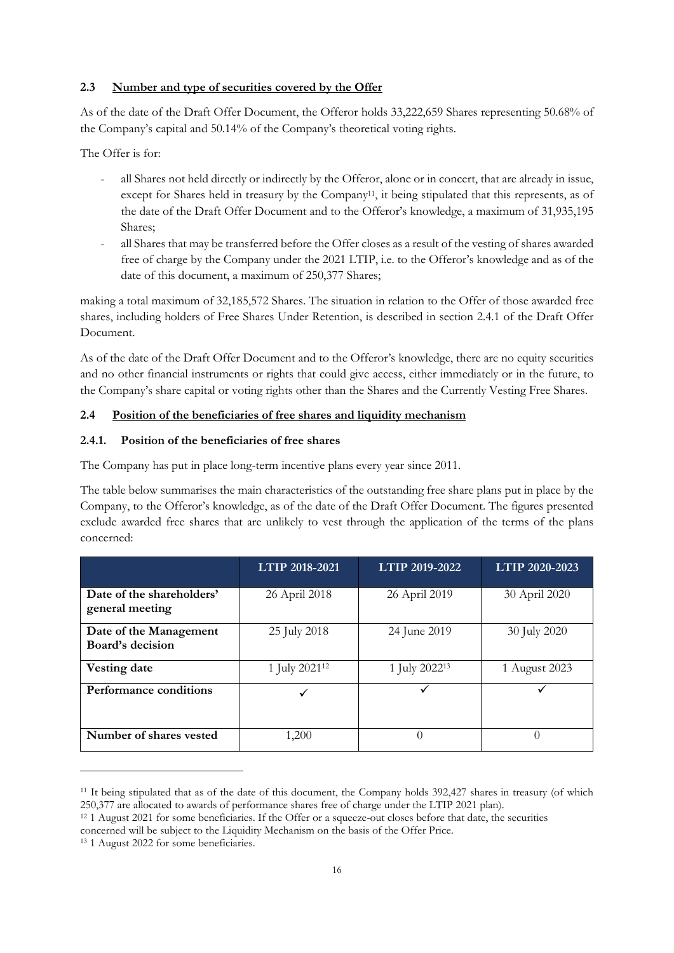## **2.3 Number and type of securities covered by the Offer**

As of the date of the Draft Offer Document, the Offeror holds 33,222,659 Shares representing 50.68% of the Company's capital and 50.14% of the Company's theoretical voting rights.

The Offer is for:

- all Shares not held directly or indirectly by the Offeror, alone or in concert, that are already in issue, except for Shares held in treasury by the Company<sup>11</sup>, it being stipulated that this represents, as of the date of the Draft Offer Document and to the Offeror's knowledge, a maximum of 31,935,195 Shares;
- all Shares that may be transferred before the Offer closes as a result of the vesting of shares awarded free of charge by the Company under the 2021 LTIP, i.e. to the Offeror's knowledge and as of the date of this document, a maximum of 250,377 Shares;

making a total maximum of 32,185,572 Shares. The situation in relation to the Offer of those awarded free shares, including holders of Free Shares Under Retention, is described in section 2.4.1 of the Draft Offer Document.

As of the date of the Draft Offer Document and to the Offeror's knowledge, there are no equity securities and no other financial instruments or rights that could give access, either immediately or in the future, to the Company's share capital or voting rights other than the Shares and the Currently Vesting Free Shares.

# **2.4 Position of the beneficiaries of free shares and liquidity mechanism**

# **2.4.1. Position of the beneficiaries of free shares**

The Company has put in place long-term incentive plans every year since 2011.

The table below summarises the main characteristics of the outstanding free share plans put in place by the Company, to the Offeror's knowledge, as of the date of the Draft Offer Document. The figures presented exclude awarded free shares that are unlikely to vest through the application of the terms of the plans concerned:

|                                              | LTIP 2018-2021            | LTIP 2019-2022            | LTIP 2020-2023 |
|----------------------------------------------|---------------------------|---------------------------|----------------|
| Date of the shareholders'<br>general meeting | 26 April 2018             | 26 April 2019             | 30 April 2020  |
| Date of the Management<br>Board's decision   | 25 July 2018              | 24 June 2019              | 30 July 2020   |
| <b>Vesting date</b>                          | 1 July 2021 <sup>12</sup> | 1 July 2022 <sup>13</sup> | 1 August 2023  |
| Performance conditions                       | ✓                         |                           |                |
| Number of shares vested                      | 1,200                     | 0                         | $\Omega$       |

<sup>&</sup>lt;sup>11</sup> It being stipulated that as of the date of this document, the Company holds 392,427 shares in treasury (of which 250,377 are allocated to awards of performance shares free of charge under the LTIP 2021 plan).

<sup>12</sup> 1 August 2021 for some beneficiaries. If the Offer or a squeeze-out closes before that date, the securities

concerned will be subject to the Liquidity Mechanism on the basis of the Offer Price.

<sup>13</sup> 1 August 2022 for some beneficiaries.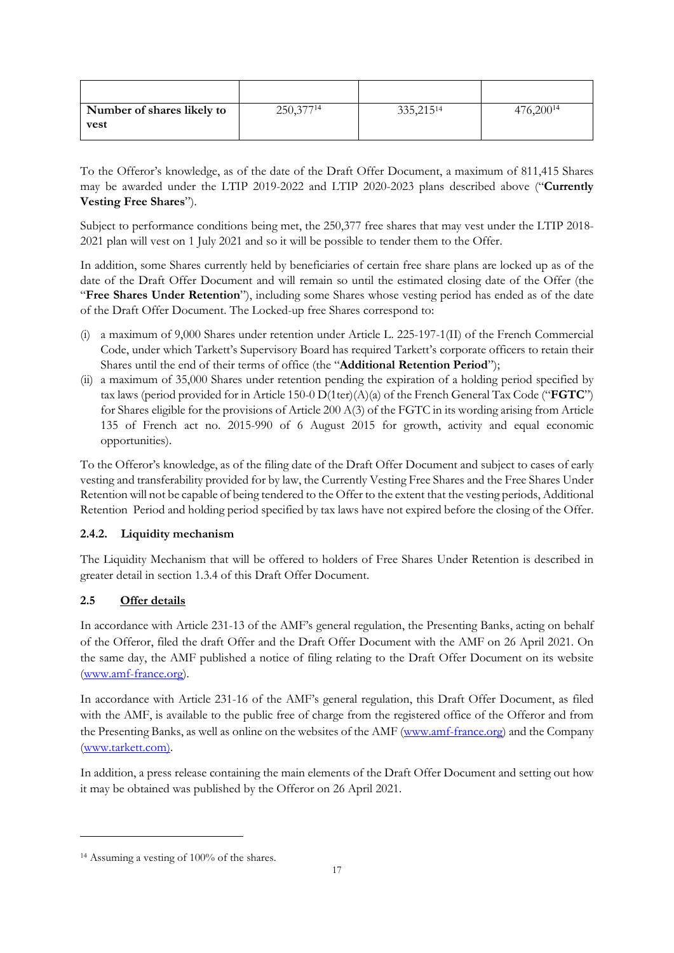| Number of shares likely to | 250,37714 | 335, 215 <sup>14</sup> | 476,200 <sup>14</sup> |
|----------------------------|-----------|------------------------|-----------------------|
| <b>vest</b>                |           |                        |                       |
|                            |           |                        |                       |

To the Offeror's knowledge, as of the date of the Draft Offer Document, a maximum of 811,415 Shares may be awarded under the LTIP 2019-2022 and LTIP 2020-2023 plans described above ("**Currently Vesting Free Shares**").

Subject to performance conditions being met, the 250,377 free shares that may vest under the LTIP 2018- 2021 plan will vest on 1 July 2021 and so it will be possible to tender them to the Offer.

In addition, some Shares currently held by beneficiaries of certain free share plans are locked up as of the date of the Draft Offer Document and will remain so until the estimated closing date of the Offer (the "**Free Shares Under Retention**"), including some Shares whose vesting period has ended as of the date of the Draft Offer Document. The Locked-up free Shares correspond to:

- (i) a maximum of 9,000 Shares under retention under Article L. 225-197-1(II) of the French Commercial Code, under which Tarkett's Supervisory Board has required Tarkett's corporate officers to retain their Shares until the end of their terms of office (the "**Additional Retention Period**");
- (ii) a maximum of 35,000 Shares under retention pending the expiration of a holding period specified by tax laws (period provided for in Article 150-0 D(1ter)(A)(a) of the French General Tax Code ("**FGTC**") for Shares eligible for the provisions of Article 200 A(3) of the FGTC in its wording arising from Article 135 of French act no. 2015-990 of 6 August 2015 for growth, activity and equal economic opportunities).

To the Offeror's knowledge, as of the filing date of the Draft Offer Document and subject to cases of early vesting and transferability provided for by law, the Currently Vesting Free Shares and the Free Shares Under Retention will not be capable of being tendered to the Offer to the extent that the vesting periods, Additional Retention Period and holding period specified by tax laws have not expired before the closing of the Offer.

# **2.4.2. Liquidity mechanism**

The Liquidity Mechanism that will be offered to holders of Free Shares Under Retention is described in greater detail in section 1.3.4 of this Draft Offer Document.

# **2.5 Offer details**

In accordance with Article 231-13 of the AMF's general regulation, the Presenting Banks, acting on behalf of the Offeror, filed the draft Offer and the Draft Offer Document with the AMF on 26 April 2021. On the same day, the AMF published a notice of filing relating to the Draft Offer Document on its website (www.amf-france.org).

In accordance with Article 231-16 of the AMF's general regulation, this Draft Offer Document, as filed with the AMF, is available to the public free of charge from the registered office of the Offeror and from the Presenting Banks, as well as online on the websites of the AMF (www.amf-france.org) and the Company (www.tarkett.com).

In addition, a press release containing the main elements of the Draft Offer Document and setting out how it may be obtained was published by the Offeror on 26 April 2021.

<sup>14</sup> Assuming a vesting of 100% of the shares.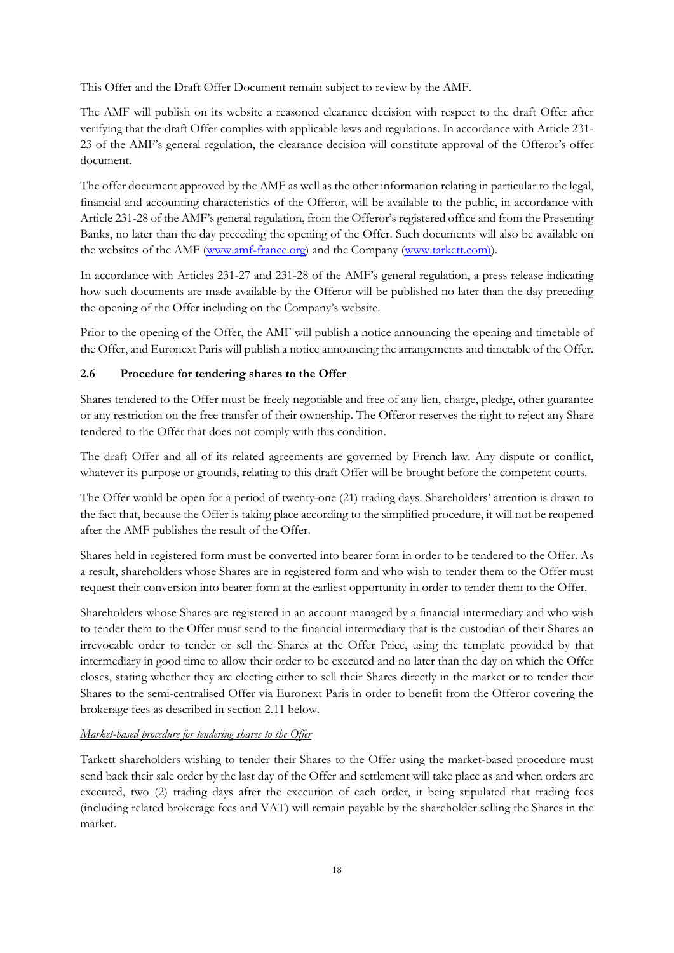This Offer and the Draft Offer Document remain subject to review by the AMF.

The AMF will publish on its website a reasoned clearance decision with respect to the draft Offer after verifying that the draft Offer complies with applicable laws and regulations. In accordance with Article 231- 23 of the AMF's general regulation, the clearance decision will constitute approval of the Offeror's offer document.

The offer document approved by the AMF as well as the other information relating in particular to the legal, financial and accounting characteristics of the Offeror, will be available to the public, in accordance with Article 231-28 of the AMF's general regulation, from the Offeror's registered office and from the Presenting Banks, no later than the day preceding the opening of the Offer. Such documents will also be available on the websites of the AMF (www.amf-france.org) and the Company (www.tarkett.com)).

In accordance with Articles 231-27 and 231-28 of the AMF's general regulation, a press release indicating how such documents are made available by the Offeror will be published no later than the day preceding the opening of the Offer including on the Company's website.

Prior to the opening of the Offer, the AMF will publish a notice announcing the opening and timetable of the Offer, and Euronext Paris will publish a notice announcing the arrangements and timetable of the Offer.

# **2.6 Procedure for tendering shares to the Offer**

Shares tendered to the Offer must be freely negotiable and free of any lien, charge, pledge, other guarantee or any restriction on the free transfer of their ownership. The Offeror reserves the right to reject any Share tendered to the Offer that does not comply with this condition.

The draft Offer and all of its related agreements are governed by French law. Any dispute or conflict, whatever its purpose or grounds, relating to this draft Offer will be brought before the competent courts.

The Offer would be open for a period of twenty-one (21) trading days. Shareholders' attention is drawn to the fact that, because the Offer is taking place according to the simplified procedure, it will not be reopened after the AMF publishes the result of the Offer.

Shares held in registered form must be converted into bearer form in order to be tendered to the Offer. As a result, shareholders whose Shares are in registered form and who wish to tender them to the Offer must request their conversion into bearer form at the earliest opportunity in order to tender them to the Offer.

Shareholders whose Shares are registered in an account managed by a financial intermediary and who wish to tender them to the Offer must send to the financial intermediary that is the custodian of their Shares an irrevocable order to tender or sell the Shares at the Offer Price, using the template provided by that intermediary in good time to allow their order to be executed and no later than the day on which the Offer closes, stating whether they are electing either to sell their Shares directly in the market or to tender their Shares to the semi-centralised Offer via Euronext Paris in order to benefit from the Offeror covering the brokerage fees as described in section 2.11 below.

# *Market-based procedure for tendering shares to the Offer*

Tarkett shareholders wishing to tender their Shares to the Offer using the market-based procedure must send back their sale order by the last day of the Offer and settlement will take place as and when orders are executed, two (2) trading days after the execution of each order, it being stipulated that trading fees (including related brokerage fees and VAT) will remain payable by the shareholder selling the Shares in the market.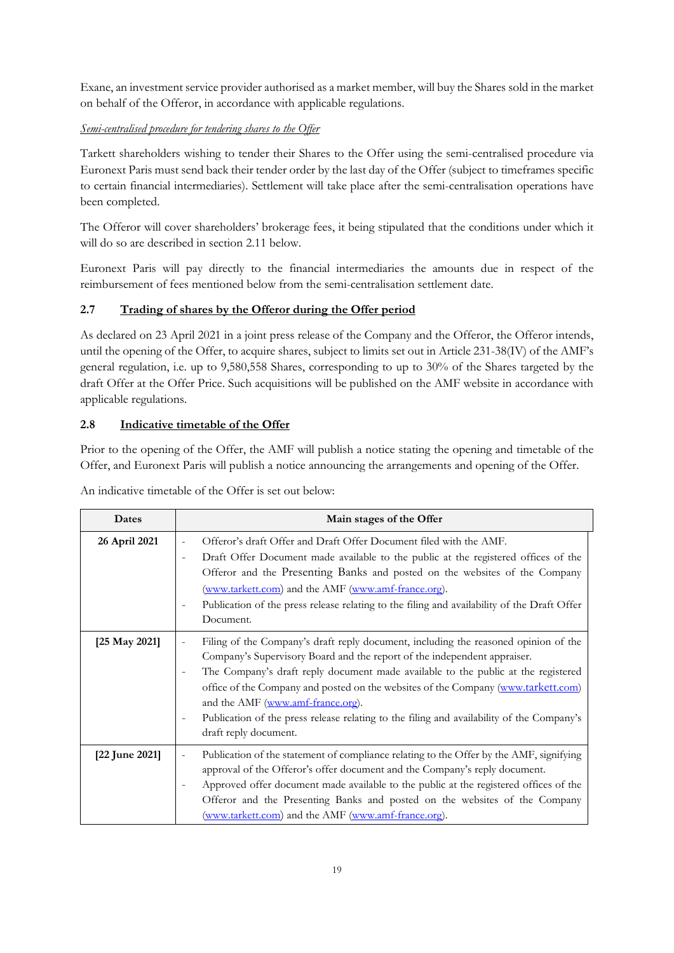Exane, an investment service provider authorised as a market member, will buy the Shares sold in the market on behalf of the Offeror, in accordance with applicable regulations.

# *Semi-centralised procedure for tendering shares to the Offer*

Tarkett shareholders wishing to tender their Shares to the Offer using the semi-centralised procedure via Euronext Paris must send back their tender order by the last day of the Offer (subject to timeframes specific to certain financial intermediaries). Settlement will take place after the semi-centralisation operations have been completed.

The Offeror will cover shareholders' brokerage fees, it being stipulated that the conditions under which it will do so are described in section 2.11 below.

Euronext Paris will pay directly to the financial intermediaries the amounts due in respect of the reimbursement of fees mentioned below from the semi-centralisation settlement date.

# **2.7 Trading of shares by the Offeror during the Offer period**

As declared on 23 April 2021 in a joint press release of the Company and the Offeror, the Offeror intends, until the opening of the Offer, to acquire shares, subject to limits set out in Article 231-38(IV) of the AMF's general regulation, i.e. up to 9,580,558 Shares, corresponding to up to 30% of the Shares targeted by the draft Offer at the Offer Price. Such acquisitions will be published on the AMF website in accordance with applicable regulations.

# **2.8 Indicative timetable of the Offer**

Prior to the opening of the Offer, the AMF will publish a notice stating the opening and timetable of the Offer, and Euronext Paris will publish a notice announcing the arrangements and opening of the Offer.

| Dates                    | Main stages of the Offer                                                                                                                                                                                                                                                                                                                                                                                                                                                                                                                                                                 |
|--------------------------|------------------------------------------------------------------------------------------------------------------------------------------------------------------------------------------------------------------------------------------------------------------------------------------------------------------------------------------------------------------------------------------------------------------------------------------------------------------------------------------------------------------------------------------------------------------------------------------|
| 26 April 2021            | Offeror's draft Offer and Draft Offer Document filed with the AMF.<br>÷.<br>Draft Offer Document made available to the public at the registered offices of the<br>$\overline{\phantom{0}}$<br>Offeror and the Presenting Banks and posted on the websites of the Company<br>(www.tarkett.com) and the AMF (www.amf-france.org).<br>Publication of the press release relating to the filing and availability of the Draft Offer<br>$\overline{\phantom{0}}$<br>Document.                                                                                                                  |
| $[25 \text{ May } 2021]$ | Filing of the Company's draft reply document, including the reasoned opinion of the<br>$\overline{\phantom{a}}$<br>Company's Supervisory Board and the report of the independent appraiser.<br>The Company's draft reply document made available to the public at the registered<br>$\overline{\phantom{0}}$<br>office of the Company and posted on the websites of the Company (www.tarkett.com)<br>and the AMF (www.amf-france.org).<br>Publication of the press release relating to the filing and availability of the Company's<br>$\overline{\phantom{0}}$<br>draft reply document. |
| [22 June 2021]           | Publication of the statement of compliance relating to the Offer by the AMF, signifying<br>$\equiv$<br>approval of the Offeror's offer document and the Company's reply document.<br>Approved offer document made available to the public at the registered offices of the<br>$\overline{\phantom{0}}$<br>Offeror and the Presenting Banks and posted on the websites of the Company<br>(www.tarkett.com) and the AMF (www.amf-france.org).                                                                                                                                              |

An indicative timetable of the Offer is set out below: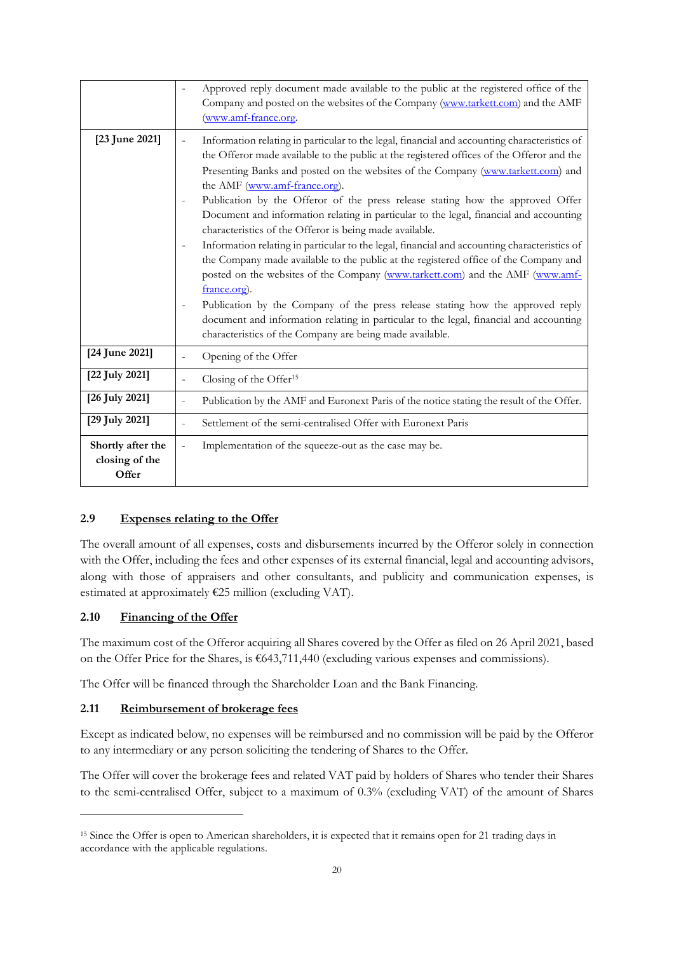|                                              | Approved reply document made available to the public at the registered office of the<br>Company and posted on the websites of the Company (www.tarkett.com) and the AMF<br>(www.amf-france.org.                                                                                                                                                                                                                                                                                                                                                                                                                                                                                                                                                                                                                                                                                                                                                                                                                                                                                                                                                                                                        |
|----------------------------------------------|--------------------------------------------------------------------------------------------------------------------------------------------------------------------------------------------------------------------------------------------------------------------------------------------------------------------------------------------------------------------------------------------------------------------------------------------------------------------------------------------------------------------------------------------------------------------------------------------------------------------------------------------------------------------------------------------------------------------------------------------------------------------------------------------------------------------------------------------------------------------------------------------------------------------------------------------------------------------------------------------------------------------------------------------------------------------------------------------------------------------------------------------------------------------------------------------------------|
| [23 June 2021]                               | Information relating in particular to the legal, financial and accounting characteristics of<br>$\overline{\phantom{0}}$<br>the Offeror made available to the public at the registered offices of the Offeror and the<br>Presenting Banks and posted on the websites of the Company (www.tarkett.com) and<br>the AMF (www.amf-france.org).<br>Publication by the Offeror of the press release stating how the approved Offer<br>$\overline{\phantom{a}}$<br>Document and information relating in particular to the legal, financial and accounting<br>characteristics of the Offeror is being made available.<br>Information relating in particular to the legal, financial and accounting characteristics of<br>$\overline{\phantom{a}}$<br>the Company made available to the public at the registered office of the Company and<br>posted on the websites of the Company (www.tarkett.com) and the AMF (www.amf-<br>france.org).<br>Publication by the Company of the press release stating how the approved reply<br>$\overline{\phantom{a}}$<br>document and information relating in particular to the legal, financial and accounting<br>characteristics of the Company are being made available. |
| [24 June 2021]                               | Opening of the Offer<br>$\overline{\phantom{0}}$                                                                                                                                                                                                                                                                                                                                                                                                                                                                                                                                                                                                                                                                                                                                                                                                                                                                                                                                                                                                                                                                                                                                                       |
| [22 July 2021]                               | Closing of the Offer <sup>15</sup>                                                                                                                                                                                                                                                                                                                                                                                                                                                                                                                                                                                                                                                                                                                                                                                                                                                                                                                                                                                                                                                                                                                                                                     |
| [26 July 2021]                               | Publication by the AMF and Euronext Paris of the notice stating the result of the Offer.                                                                                                                                                                                                                                                                                                                                                                                                                                                                                                                                                                                                                                                                                                                                                                                                                                                                                                                                                                                                                                                                                                               |
| [29 July 2021]                               | Settlement of the semi-centralised Offer with Euronext Paris                                                                                                                                                                                                                                                                                                                                                                                                                                                                                                                                                                                                                                                                                                                                                                                                                                                                                                                                                                                                                                                                                                                                           |
| Shortly after the<br>closing of the<br>Offer | Implementation of the squeeze-out as the case may be.                                                                                                                                                                                                                                                                                                                                                                                                                                                                                                                                                                                                                                                                                                                                                                                                                                                                                                                                                                                                                                                                                                                                                  |

## **2.9 Expenses relating to the Offer**

The overall amount of all expenses, costs and disbursements incurred by the Offeror solely in connection with the Offer, including the fees and other expenses of its external financial, legal and accounting advisors, along with those of appraisers and other consultants, and publicity and communication expenses, is estimated at approximately €25 million (excluding VAT).

#### **2.10 Financing of the Offer**

The maximum cost of the Offeror acquiring all Shares covered by the Offer as filed on 26 April 2021, based on the Offer Price for the Shares, is €643,711,440 (excluding various expenses and commissions).

The Offer will be financed through the Shareholder Loan and the Bank Financing.

#### **2.11 Reimbursement of brokerage fees**

Except as indicated below, no expenses will be reimbursed and no commission will be paid by the Offeror to any intermediary or any person soliciting the tendering of Shares to the Offer.

The Offer will cover the brokerage fees and related VAT paid by holders of Shares who tender their Shares to the semi-centralised Offer, subject to a maximum of 0.3% (excluding VAT) of the amount of Shares

<sup>15</sup> Since the Offer is open to American shareholders, it is expected that it remains open for 21 trading days in accordance with the applicable regulations.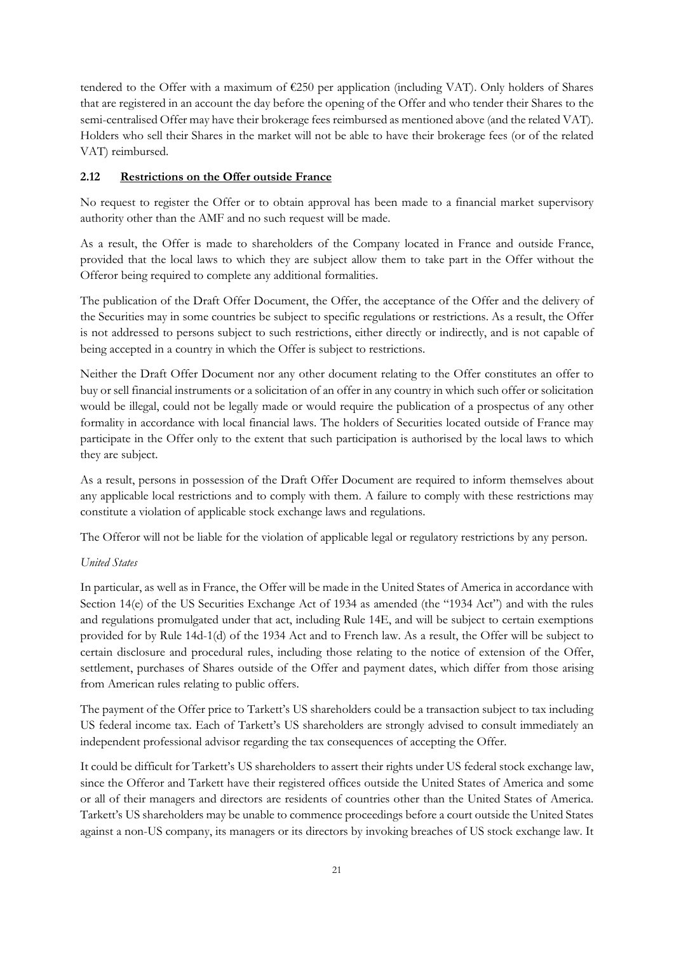tendered to the Offer with a maximum of €250 per application (including VAT). Only holders of Shares that are registered in an account the day before the opening of the Offer and who tender their Shares to the semi-centralised Offer may have their brokerage fees reimbursed as mentioned above (and the related VAT). Holders who sell their Shares in the market will not be able to have their brokerage fees (or of the related VAT) reimbursed.

## **2.12 Restrictions on the Offer outside France**

No request to register the Offer or to obtain approval has been made to a financial market supervisory authority other than the AMF and no such request will be made.

As a result, the Offer is made to shareholders of the Company located in France and outside France, provided that the local laws to which they are subject allow them to take part in the Offer without the Offeror being required to complete any additional formalities.

The publication of the Draft Offer Document, the Offer, the acceptance of the Offer and the delivery of the Securities may in some countries be subject to specific regulations or restrictions. As a result, the Offer is not addressed to persons subject to such restrictions, either directly or indirectly, and is not capable of being accepted in a country in which the Offer is subject to restrictions.

Neither the Draft Offer Document nor any other document relating to the Offer constitutes an offer to buy or sell financial instruments or a solicitation of an offer in any country in which such offer or solicitation would be illegal, could not be legally made or would require the publication of a prospectus of any other formality in accordance with local financial laws. The holders of Securities located outside of France may participate in the Offer only to the extent that such participation is authorised by the local laws to which they are subject.

As a result, persons in possession of the Draft Offer Document are required to inform themselves about any applicable local restrictions and to comply with them. A failure to comply with these restrictions may constitute a violation of applicable stock exchange laws and regulations.

The Offeror will not be liable for the violation of applicable legal or regulatory restrictions by any person.

## *United States*

In particular, as well as in France, the Offer will be made in the United States of America in accordance with Section 14(e) of the US Securities Exchange Act of 1934 as amended (the "1934 Act") and with the rules and regulations promulgated under that act, including Rule 14E, and will be subject to certain exemptions provided for by Rule 14d-1(d) of the 1934 Act and to French law. As a result, the Offer will be subject to certain disclosure and procedural rules, including those relating to the notice of extension of the Offer, settlement, purchases of Shares outside of the Offer and payment dates, which differ from those arising from American rules relating to public offers.

The payment of the Offer price to Tarkett's US shareholders could be a transaction subject to tax including US federal income tax. Each of Tarkett's US shareholders are strongly advised to consult immediately an independent professional advisor regarding the tax consequences of accepting the Offer.

It could be difficult for Tarkett's US shareholders to assert their rights under US federal stock exchange law, since the Offeror and Tarkett have their registered offices outside the United States of America and some or all of their managers and directors are residents of countries other than the United States of America. Tarkett's US shareholders may be unable to commence proceedings before a court outside the United States against a non-US company, its managers or its directors by invoking breaches of US stock exchange law. It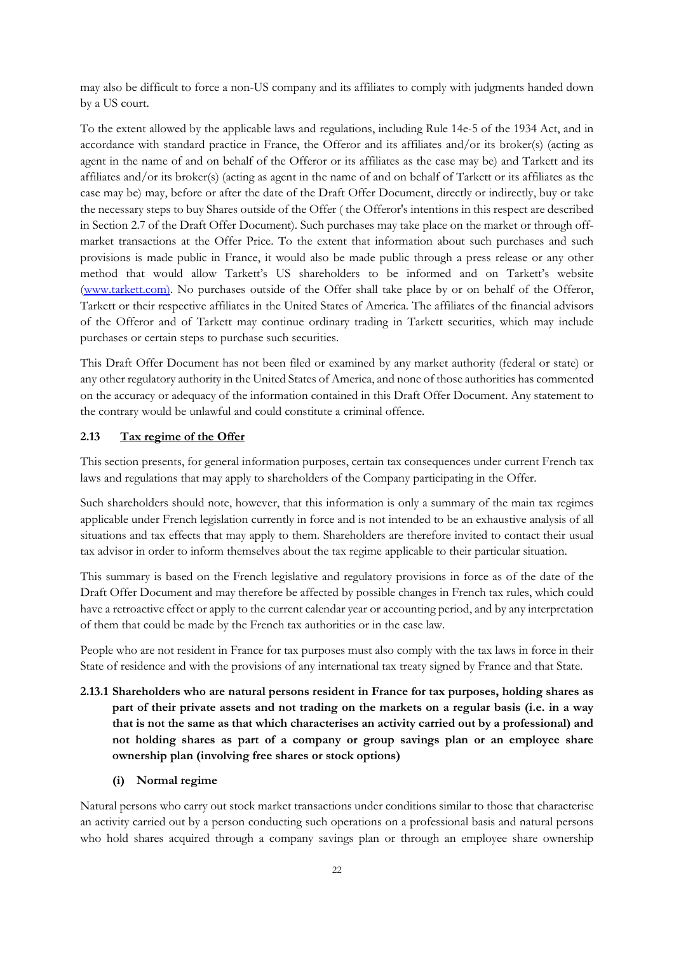may also be difficult to force a non-US company and its affiliates to comply with judgments handed down by a US court.

To the extent allowed by the applicable laws and regulations, including Rule 14e-5 of the 1934 Act, and in accordance with standard practice in France, the Offeror and its affiliates and/or its broker(s) (acting as agent in the name of and on behalf of the Offeror or its affiliates as the case may be) and Tarkett and its affiliates and/or its broker(s) (acting as agent in the name of and on behalf of Tarkett or its affiliates as the case may be) may, before or after the date of the Draft Offer Document, directly or indirectly, buy or take the necessary steps to buy Shares outside of the Offer ( the Offeror's intentions in this respect are described in Section 2.7 of the Draft Offer Document). Such purchases may take place on the market or through offmarket transactions at the Offer Price. To the extent that information about such purchases and such provisions is made public in France, it would also be made public through a press release or any other method that would allow Tarkett's US shareholders to be informed and on Tarkett's website (www.tarkett.com). No purchases outside of the Offer shall take place by or on behalf of the Offeror, Tarkett or their respective affiliates in the United States of America. The affiliates of the financial advisors of the Offeror and of Tarkett may continue ordinary trading in Tarkett securities, which may include purchases or certain steps to purchase such securities.

This Draft Offer Document has not been filed or examined by any market authority (federal or state) or any other regulatory authority in the United States of America, and none of those authorities has commented on the accuracy or adequacy of the information contained in this Draft Offer Document. Any statement to the contrary would be unlawful and could constitute a criminal offence.

#### **2.13 Tax regime of the Offer**

This section presents, for general information purposes, certain tax consequences under current French tax laws and regulations that may apply to shareholders of the Company participating in the Offer.

Such shareholders should note, however, that this information is only a summary of the main tax regimes applicable under French legislation currently in force and is not intended to be an exhaustive analysis of all situations and tax effects that may apply to them. Shareholders are therefore invited to contact their usual tax advisor in order to inform themselves about the tax regime applicable to their particular situation.

This summary is based on the French legislative and regulatory provisions in force as of the date of the Draft Offer Document and may therefore be affected by possible changes in French tax rules, which could have a retroactive effect or apply to the current calendar year or accounting period, and by any interpretation of them that could be made by the French tax authorities or in the case law.

People who are not resident in France for tax purposes must also comply with the tax laws in force in their State of residence and with the provisions of any international tax treaty signed by France and that State.

- **2.13.1 Shareholders who are natural persons resident in France for tax purposes, holding shares as part of their private assets and not trading on the markets on a regular basis (i.e. in a way that is not the same as that which characterises an activity carried out by a professional) and not holding shares as part of a company or group savings plan or an employee share ownership plan (involving free shares or stock options)** 
	- **(i) Normal regime**

Natural persons who carry out stock market transactions under conditions similar to those that characterise an activity carried out by a person conducting such operations on a professional basis and natural persons who hold shares acquired through a company savings plan or through an employee share ownership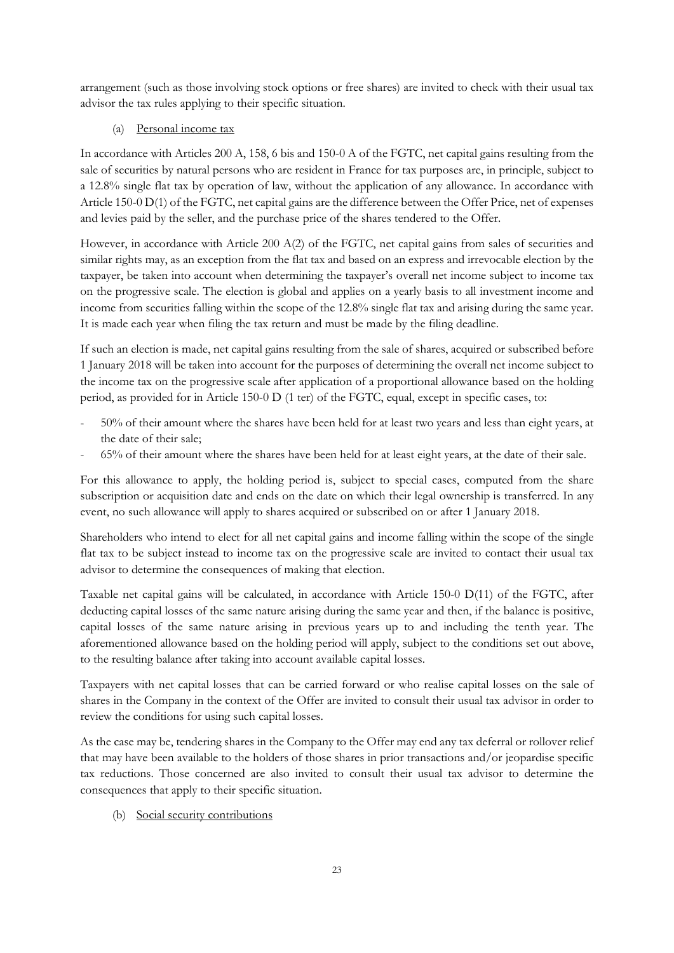arrangement (such as those involving stock options or free shares) are invited to check with their usual tax advisor the tax rules applying to their specific situation.

# (a) Personal income tax

In accordance with Articles 200 A, 158, 6 bis and 150-0 A of the FGTC, net capital gains resulting from the sale of securities by natural persons who are resident in France for tax purposes are, in principle, subject to a 12.8% single flat tax by operation of law, without the application of any allowance. In accordance with Article 150-0 D(1) of the FGTC, net capital gains are the difference between the Offer Price, net of expenses and levies paid by the seller, and the purchase price of the shares tendered to the Offer.

However, in accordance with Article 200 A(2) of the FGTC, net capital gains from sales of securities and similar rights may, as an exception from the flat tax and based on an express and irrevocable election by the taxpayer, be taken into account when determining the taxpayer's overall net income subject to income tax on the progressive scale. The election is global and applies on a yearly basis to all investment income and income from securities falling within the scope of the 12.8% single flat tax and arising during the same year. It is made each year when filing the tax return and must be made by the filing deadline.

If such an election is made, net capital gains resulting from the sale of shares, acquired or subscribed before 1 January 2018 will be taken into account for the purposes of determining the overall net income subject to the income tax on the progressive scale after application of a proportional allowance based on the holding period, as provided for in Article 150-0 D (1 ter) of the FGTC, equal, except in specific cases, to:

- 50% of their amount where the shares have been held for at least two years and less than eight years, at the date of their sale;
- 65% of their amount where the shares have been held for at least eight years, at the date of their sale.

For this allowance to apply, the holding period is, subject to special cases, computed from the share subscription or acquisition date and ends on the date on which their legal ownership is transferred. In any event, no such allowance will apply to shares acquired or subscribed on or after 1 January 2018.

Shareholders who intend to elect for all net capital gains and income falling within the scope of the single flat tax to be subject instead to income tax on the progressive scale are invited to contact their usual tax advisor to determine the consequences of making that election.

Taxable net capital gains will be calculated, in accordance with Article 150-0 D(11) of the FGTC, after deducting capital losses of the same nature arising during the same year and then, if the balance is positive, capital losses of the same nature arising in previous years up to and including the tenth year. The aforementioned allowance based on the holding period will apply, subject to the conditions set out above, to the resulting balance after taking into account available capital losses.

Taxpayers with net capital losses that can be carried forward or who realise capital losses on the sale of shares in the Company in the context of the Offer are invited to consult their usual tax advisor in order to review the conditions for using such capital losses.

As the case may be, tendering shares in the Company to the Offer may end any tax deferral or rollover relief that may have been available to the holders of those shares in prior transactions and/or jeopardise specific tax reductions. Those concerned are also invited to consult their usual tax advisor to determine the consequences that apply to their specific situation.

## (b) Social security contributions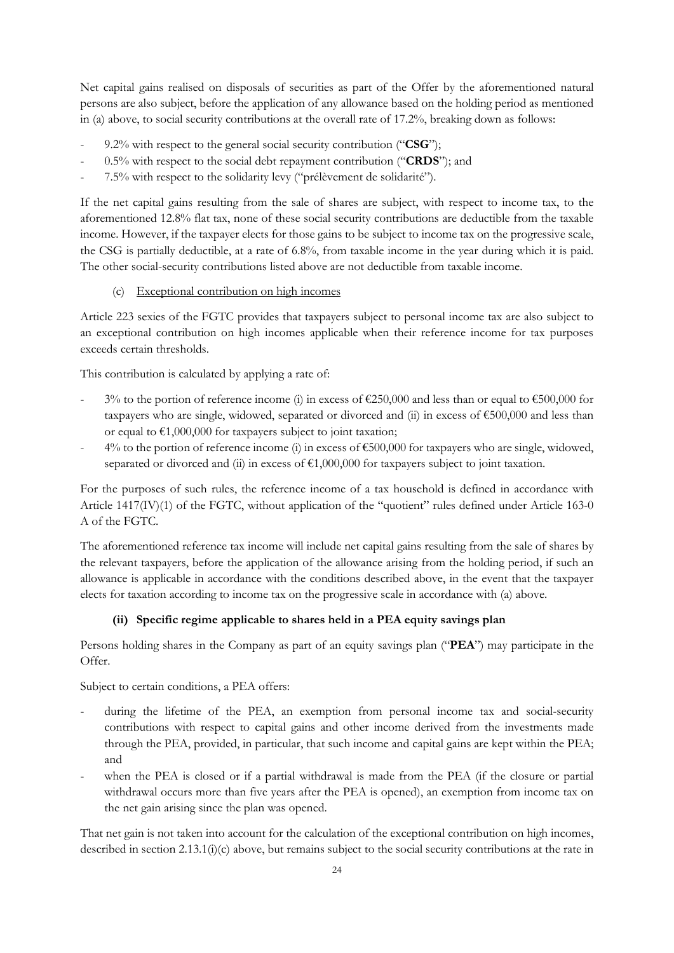Net capital gains realised on disposals of securities as part of the Offer by the aforementioned natural persons are also subject, before the application of any allowance based on the holding period as mentioned in (a) above, to social security contributions at the overall rate of 17.2%, breaking down as follows:

- 9.2% with respect to the general social security contribution ("**CSG**");
- 0.5% with respect to the social debt repayment contribution ("**CRDS**"); and
- 7.5% with respect to the solidarity levy ("prélèvement de solidarité").

If the net capital gains resulting from the sale of shares are subject, with respect to income tax, to the aforementioned 12.8% flat tax, none of these social security contributions are deductible from the taxable income. However, if the taxpayer elects for those gains to be subject to income tax on the progressive scale, the CSG is partially deductible, at a rate of 6.8%, from taxable income in the year during which it is paid. The other social-security contributions listed above are not deductible from taxable income.

# (c) Exceptional contribution on high incomes

Article 223 sexies of the FGTC provides that taxpayers subject to personal income tax are also subject to an exceptional contribution on high incomes applicable when their reference income for tax purposes exceeds certain thresholds.

This contribution is calculated by applying a rate of:

- 3% to the portion of reference income (i) in excess of  $\epsilon$ 250,000 and less than or equal to  $\epsilon$ 500,000 for taxpayers who are single, widowed, separated or divorced and (ii) in excess of  $\epsilon$ 500,000 and less than or equal to  $\epsilon$ 1,000,000 for taxpayers subject to joint taxation;
- $4\%$  to the portion of reference income (i) in excess of  $€500,000$  for taxpayers who are single, widowed, separated or divorced and (ii) in excess of  $\epsilon 1,000,000$  for taxpayers subject to joint taxation.

For the purposes of such rules, the reference income of a tax household is defined in accordance with Article 1417(IV)(1) of the FGTC, without application of the "quotient" rules defined under Article 163-0 A of the FGTC.

The aforementioned reference tax income will include net capital gains resulting from the sale of shares by the relevant taxpayers, before the application of the allowance arising from the holding period, if such an allowance is applicable in accordance with the conditions described above, in the event that the taxpayer elects for taxation according to income tax on the progressive scale in accordance with (a) above.

## **(ii) Specific regime applicable to shares held in a PEA equity savings plan**

Persons holding shares in the Company as part of an equity savings plan ("**PEA**") may participate in the Offer.

Subject to certain conditions, a PEA offers:

- during the lifetime of the PEA, an exemption from personal income tax and social-security contributions with respect to capital gains and other income derived from the investments made through the PEA, provided, in particular, that such income and capital gains are kept within the PEA; and
- when the PEA is closed or if a partial withdrawal is made from the PEA (if the closure or partial withdrawal occurs more than five years after the PEA is opened), an exemption from income tax on the net gain arising since the plan was opened.

That net gain is not taken into account for the calculation of the exceptional contribution on high incomes, described in section 2.13.1(i)(c) above, but remains subject to the social security contributions at the rate in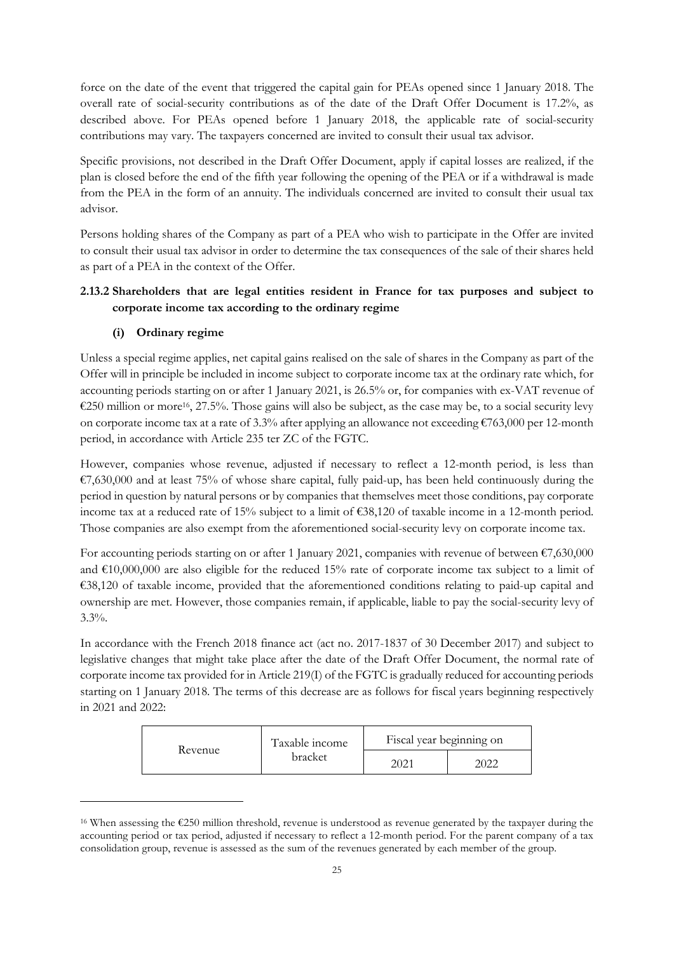force on the date of the event that triggered the capital gain for PEAs opened since 1 January 2018. The overall rate of social-security contributions as of the date of the Draft Offer Document is 17.2%, as described above. For PEAs opened before 1 January 2018, the applicable rate of social-security contributions may vary. The taxpayers concerned are invited to consult their usual tax advisor.

Specific provisions, not described in the Draft Offer Document, apply if capital losses are realized, if the plan is closed before the end of the fifth year following the opening of the PEA or if a withdrawal is made from the PEA in the form of an annuity. The individuals concerned are invited to consult their usual tax advisor.

Persons holding shares of the Company as part of a PEA who wish to participate in the Offer are invited to consult their usual tax advisor in order to determine the tax consequences of the sale of their shares held as part of a PEA in the context of the Offer.

# **2.13.2 Shareholders that are legal entities resident in France for tax purposes and subject to corporate income tax according to the ordinary regime**

# **(i) Ordinary regime**

Unless a special regime applies, net capital gains realised on the sale of shares in the Company as part of the Offer will in principle be included in income subject to corporate income tax at the ordinary rate which, for accounting periods starting on or after 1 January 2021, is 26.5% or, for companies with ex-VAT revenue of €250 million or more<sup>16</sup>, 27.5%. Those gains will also be subject, as the case may be, to a social security levy on corporate income tax at a rate of 3.3% after applying an allowance not exceeding €763,000 per 12-month period, in accordance with Article 235 ter ZC of the FGTC.

However, companies whose revenue, adjusted if necessary to reflect a 12-month period, is less than €7,630,000 and at least 75% of whose share capital, fully paid-up, has been held continuously during the period in question by natural persons or by companies that themselves meet those conditions, pay corporate income tax at a reduced rate of 15% subject to a limit of €38,120 of taxable income in a 12-month period. Those companies are also exempt from the aforementioned social-security levy on corporate income tax.

For accounting periods starting on or after 1 January 2021, companies with revenue of between  $\epsilon$ 7,630,000 and €10,000,000 are also eligible for the reduced 15% rate of corporate income tax subject to a limit of €38,120 of taxable income, provided that the aforementioned conditions relating to paid-up capital and ownership are met. However, those companies remain, if applicable, liable to pay the social-security levy of  $3.3\%$ .

In accordance with the French 2018 finance act (act no. 2017-1837 of 30 December 2017) and subject to legislative changes that might take place after the date of the Draft Offer Document, the normal rate of corporate income tax provided for in Article 219(I) of the FGTC is gradually reduced for accounting periods starting on 1 January 2018. The terms of this decrease are as follows for fiscal years beginning respectively in 2021 and 2022:

| Taxable income<br>Revenue<br>bracket |      | Fiscal year beginning on |  |  |
|--------------------------------------|------|--------------------------|--|--|
|                                      | 2021 | 2022                     |  |  |

<sup>16</sup> When assessing the €250 million threshold, revenue is understood as revenue generated by the taxpayer during the accounting period or tax period, adjusted if necessary to reflect a 12-month period. For the parent company of a tax consolidation group, revenue is assessed as the sum of the revenues generated by each member of the group.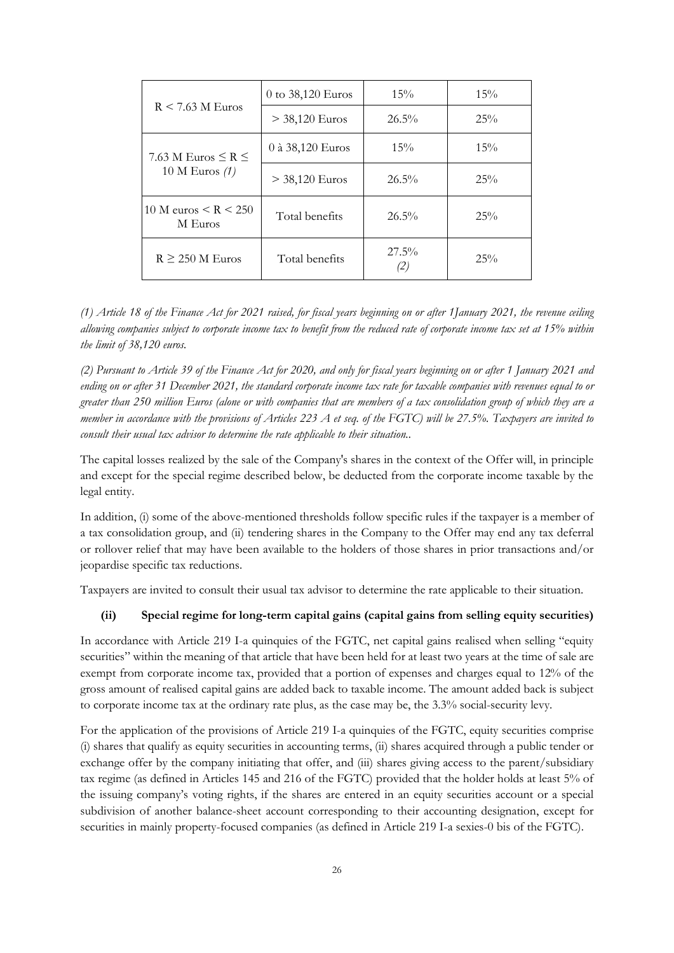|                                                | 0 to 38,120 Euros | 15%             | 15% |
|------------------------------------------------|-------------------|-----------------|-----|
| $R \le 7.63$ M Euros                           | $>$ 38,120 Euros  | $26.5\%$        | 25% |
| 0 à 38,120 Euros<br>7.63 M Euros $\leq R \leq$ |                   | 15%             |     |
| 10 M Euros $(1)$                               | $>$ 38,120 Euros  | $26.5\%$        | 25% |
| 10 M euros $\leq R \leq 250$<br>M Euros        | Total benefits    | $26.5\%$        | 25% |
| $R \geq 250$ M Euros                           | Total benefits    | $27.5\%$<br>(2) | 25% |

*(1) Article 18 of the Finance Act for 2021 raised, for fiscal years beginning on or after 1January 2021, the revenue ceiling allowing companies subject to corporate income tax to benefit from the reduced rate of corporate income tax set at 15% within the limit of 38,120 euros.* 

*(2) Pursuant to Article 39 of the Finance Act for 2020, and only for fiscal years beginning on or after 1 January 2021 and ending on or after 31 December 2021, the standard corporate income tax rate for taxable companies with revenues equal to or greater than 250 million Euros (alone or with companies that are members of a tax consolidation group of which they are a member in accordance with the provisions of Articles 223 A et seq. of the FGTC) will be 27.5%. Taxpayers are invited to consult their usual tax advisor to determine the rate applicable to their situation..* 

The capital losses realized by the sale of the Company's shares in the context of the Offer will, in principle and except for the special regime described below, be deducted from the corporate income taxable by the legal entity.

In addition, (i) some of the above-mentioned thresholds follow specific rules if the taxpayer is a member of a tax consolidation group, and (ii) tendering shares in the Company to the Offer may end any tax deferral or rollover relief that may have been available to the holders of those shares in prior transactions and/or jeopardise specific tax reductions.

Taxpayers are invited to consult their usual tax advisor to determine the rate applicable to their situation.

#### **(ii) Special regime for long-term capital gains (capital gains from selling equity securities)**

In accordance with Article 219 I-a quinquies of the FGTC, net capital gains realised when selling "equity" securities" within the meaning of that article that have been held for at least two years at the time of sale are exempt from corporate income tax, provided that a portion of expenses and charges equal to 12% of the gross amount of realised capital gains are added back to taxable income. The amount added back is subject to corporate income tax at the ordinary rate plus, as the case may be, the 3.3% social-security levy.

For the application of the provisions of Article 219 I-a quinquies of the FGTC, equity securities comprise (i) shares that qualify as equity securities in accounting terms, (ii) shares acquired through a public tender or exchange offer by the company initiating that offer, and (iii) shares giving access to the parent/subsidiary tax regime (as defined in Articles 145 and 216 of the FGTC) provided that the holder holds at least 5% of the issuing company's voting rights, if the shares are entered in an equity securities account or a special subdivision of another balance-sheet account corresponding to their accounting designation, except for securities in mainly property-focused companies (as defined in Article 219 I-a sexies-0 bis of the FGTC).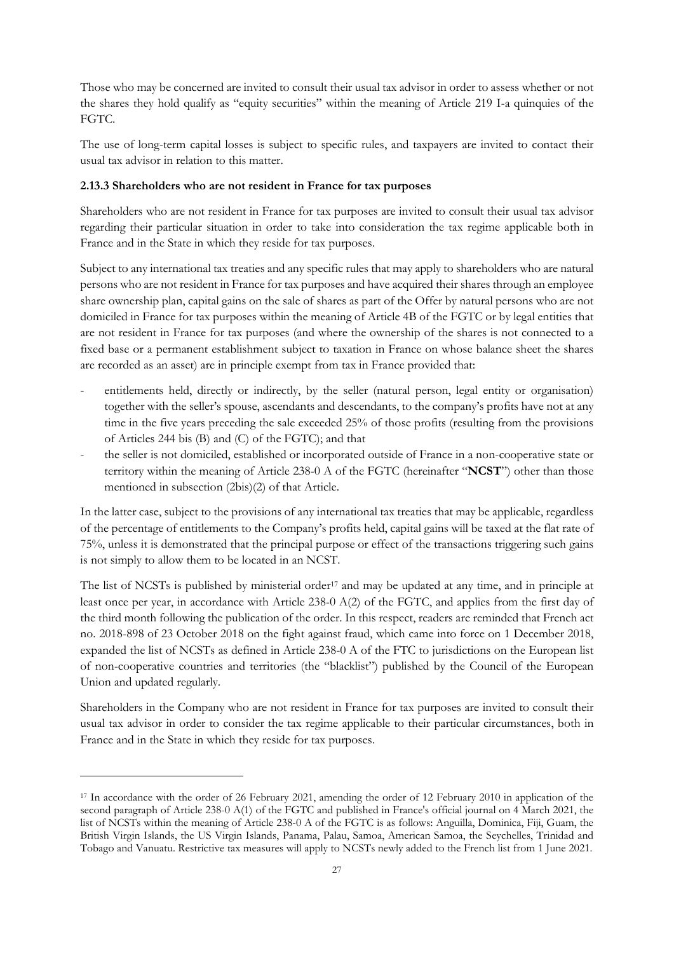Those who may be concerned are invited to consult their usual tax advisor in order to assess whether or not the shares they hold qualify as "equity securities" within the meaning of Article 219 I-a quinquies of the FGTC.

The use of long-term capital losses is subject to specific rules, and taxpayers are invited to contact their usual tax advisor in relation to this matter.

#### **2.13.3 Shareholders who are not resident in France for tax purposes**

Shareholders who are not resident in France for tax purposes are invited to consult their usual tax advisor regarding their particular situation in order to take into consideration the tax regime applicable both in France and in the State in which they reside for tax purposes.

Subject to any international tax treaties and any specific rules that may apply to shareholders who are natural persons who are not resident in France for tax purposes and have acquired their shares through an employee share ownership plan, capital gains on the sale of shares as part of the Offer by natural persons who are not domiciled in France for tax purposes within the meaning of Article 4B of the FGTC or by legal entities that are not resident in France for tax purposes (and where the ownership of the shares is not connected to a fixed base or a permanent establishment subject to taxation in France on whose balance sheet the shares are recorded as an asset) are in principle exempt from tax in France provided that:

- entitlements held, directly or indirectly, by the seller (natural person, legal entity or organisation) together with the seller's spouse, ascendants and descendants, to the company's profits have not at any time in the five years preceding the sale exceeded 25% of those profits (resulting from the provisions of Articles 244 bis (B) and (C) of the FGTC); and that
- the seller is not domiciled, established or incorporated outside of France in a non-cooperative state or territory within the meaning of Article 238-0 A of the FGTC (hereinafter "**NCST**") other than those mentioned in subsection (2bis)(2) of that Article.

In the latter case, subject to the provisions of any international tax treaties that may be applicable, regardless of the percentage of entitlements to the Company's profits held, capital gains will be taxed at the flat rate of 75%, unless it is demonstrated that the principal purpose or effect of the transactions triggering such gains is not simply to allow them to be located in an NCST.

The list of NCSTs is published by ministerial order<sup>17</sup> and may be updated at any time, and in principle at least once per year, in accordance with Article 238-0 A(2) of the FGTC, and applies from the first day of the third month following the publication of the order. In this respect, readers are reminded that French act no. 2018-898 of 23 October 2018 on the fight against fraud, which came into force on 1 December 2018, expanded the list of NCSTs as defined in Article 238-0 A of the FTC to jurisdictions on the European list of non-cooperative countries and territories (the "blacklist") published by the Council of the European Union and updated regularly.

Shareholders in the Company who are not resident in France for tax purposes are invited to consult their usual tax advisor in order to consider the tax regime applicable to their particular circumstances, both in France and in the State in which they reside for tax purposes.

<sup>&</sup>lt;sup>17</sup> In accordance with the order of 26 February 2021, amending the order of 12 February 2010 in application of the second paragraph of Article 238-0 A(1) of the FGTC and published in France's official journal on 4 March 2021, the list of NCSTs within the meaning of Article 238-0 A of the FGTC is as follows: Anguilla, Dominica, Fiji, Guam, the British Virgin Islands, the US Virgin Islands, Panama, Palau, Samoa, American Samoa, the Seychelles, Trinidad and Tobago and Vanuatu. Restrictive tax measures will apply to NCSTs newly added to the French list from 1 June 2021.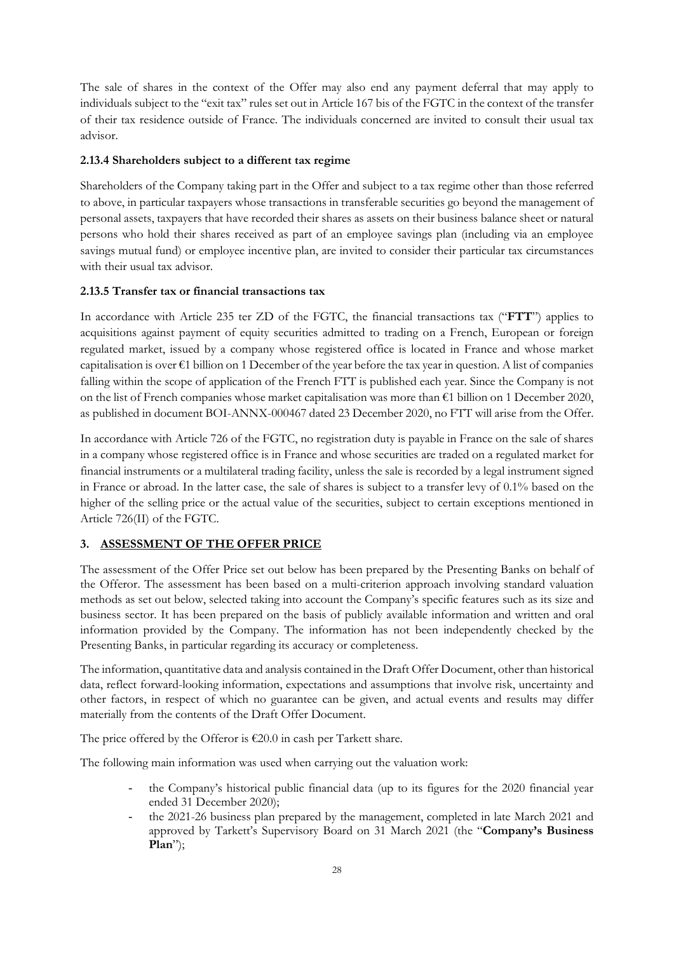The sale of shares in the context of the Offer may also end any payment deferral that may apply to individuals subject to the "exit tax" rules set out in Article 167 bis of the FGTC in the context of the transfer of their tax residence outside of France. The individuals concerned are invited to consult their usual tax advisor.

# **2.13.4 Shareholders subject to a different tax regime**

Shareholders of the Company taking part in the Offer and subject to a tax regime other than those referred to above, in particular taxpayers whose transactions in transferable securities go beyond the management of personal assets, taxpayers that have recorded their shares as assets on their business balance sheet or natural persons who hold their shares received as part of an employee savings plan (including via an employee savings mutual fund) or employee incentive plan, are invited to consider their particular tax circumstances with their usual tax advisor.

# **2.13.5 Transfer tax or financial transactions tax**

In accordance with Article 235 ter ZD of the FGTC, the financial transactions tax ("**FTT**") applies to acquisitions against payment of equity securities admitted to trading on a French, European or foreign regulated market, issued by a company whose registered office is located in France and whose market capitalisation is over  $\epsilon$ 1 billion on 1 December of the year before the tax year in question. A list of companies falling within the scope of application of the French FTT is published each year. Since the Company is not on the list of French companies whose market capitalisation was more than €1 billion on 1 December 2020, as published in document BOI-ANNX-000467 dated 23 December 2020, no FTT will arise from the Offer.

In accordance with Article 726 of the FGTC, no registration duty is payable in France on the sale of shares in a company whose registered office is in France and whose securities are traded on a regulated market for financial instruments or a multilateral trading facility, unless the sale is recorded by a legal instrument signed in France or abroad. In the latter case, the sale of shares is subject to a transfer levy of 0.1% based on the higher of the selling price or the actual value of the securities, subject to certain exceptions mentioned in Article 726(II) of the FGTC.

## **3. ASSESSMENT OF THE OFFER PRICE**

The assessment of the Offer Price set out below has been prepared by the Presenting Banks on behalf of the Offeror. The assessment has been based on a multi-criterion approach involving standard valuation methods as set out below, selected taking into account the Company's specific features such as its size and business sector. It has been prepared on the basis of publicly available information and written and oral information provided by the Company. The information has not been independently checked by the Presenting Banks, in particular regarding its accuracy or completeness.

The information, quantitative data and analysis contained in the Draft Offer Document, other than historical data, reflect forward-looking information, expectations and assumptions that involve risk, uncertainty and other factors, in respect of which no guarantee can be given, and actual events and results may differ materially from the contents of the Draft Offer Document.

The price offered by the Offeror is  $\epsilon$ 20.0 in cash per Tarkett share.

The following main information was used when carrying out the valuation work:

- the Company's historical public financial data (up to its figures for the 2020 financial year ended 31 December 2020);
- the 2021-26 business plan prepared by the management, completed in late March 2021 and approved by Tarkett's Supervisory Board on 31 March 2021 (the "**Company's Business Plan**");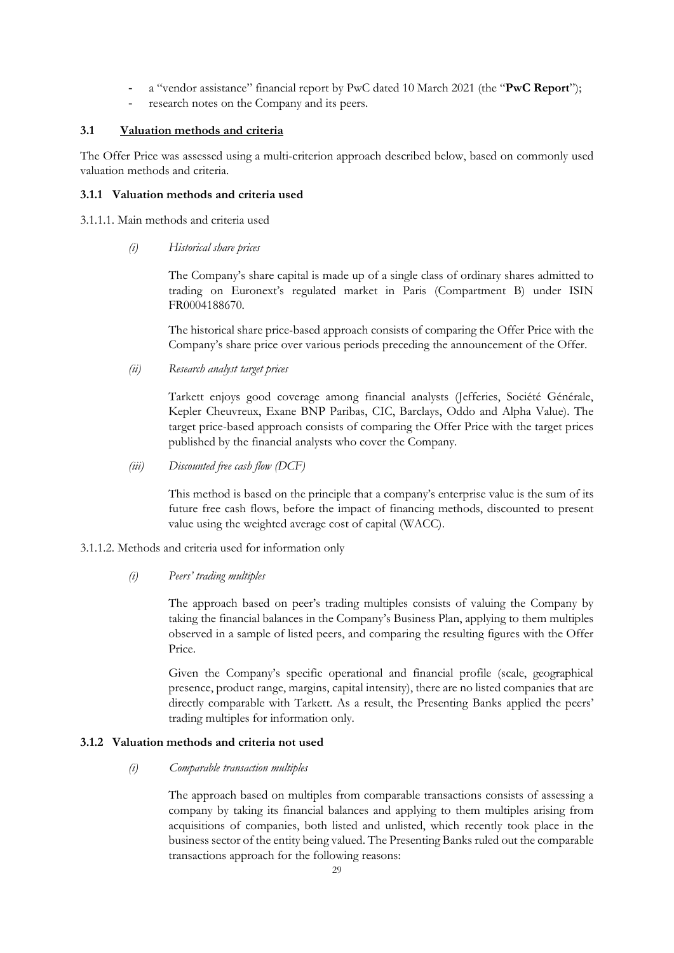- a "vendor assistance" financial report by PwC dated 10 March 2021 (the "**PwC Report**");
- research notes on the Company and its peers.

## **3.1 Valuation methods and criteria**

The Offer Price was assessed using a multi-criterion approach described below, based on commonly used valuation methods and criteria.

# **3.1.1 Valuation methods and criteria used**

3.1.1.1. Main methods and criteria used

*(i) Historical share prices* 

The Company's share capital is made up of a single class of ordinary shares admitted to trading on Euronext's regulated market in Paris (Compartment B) under ISIN FR0004188670.

The historical share price-based approach consists of comparing the Offer Price with the Company's share price over various periods preceding the announcement of the Offer.

*(ii) Research analyst target prices* 

Tarkett enjoys good coverage among financial analysts (Jefferies, Société Générale, Kepler Cheuvreux, Exane BNP Paribas, CIC, Barclays, Oddo and Alpha Value). The target price-based approach consists of comparing the Offer Price with the target prices published by the financial analysts who cover the Company.

*(iii) Discounted free cash flow (DCF)* 

This method is based on the principle that a company's enterprise value is the sum of its future free cash flows, before the impact of financing methods, discounted to present value using the weighted average cost of capital (WACC).

- 3.1.1.2. Methods and criteria used for information only
	- *(i) Peers' trading multiples*

The approach based on peer's trading multiples consists of valuing the Company by taking the financial balances in the Company's Business Plan, applying to them multiples observed in a sample of listed peers, and comparing the resulting figures with the Offer Price.

Given the Company's specific operational and financial profile (scale, geographical presence, product range, margins, capital intensity), there are no listed companies that are directly comparable with Tarkett. As a result, the Presenting Banks applied the peers' trading multiples for information only.

# **3.1.2 Valuation methods and criteria not used**

*(i) Comparable transaction multiples* 

The approach based on multiples from comparable transactions consists of assessing a company by taking its financial balances and applying to them multiples arising from acquisitions of companies, both listed and unlisted, which recently took place in the business sector of the entity being valued. The Presenting Banks ruled out the comparable transactions approach for the following reasons: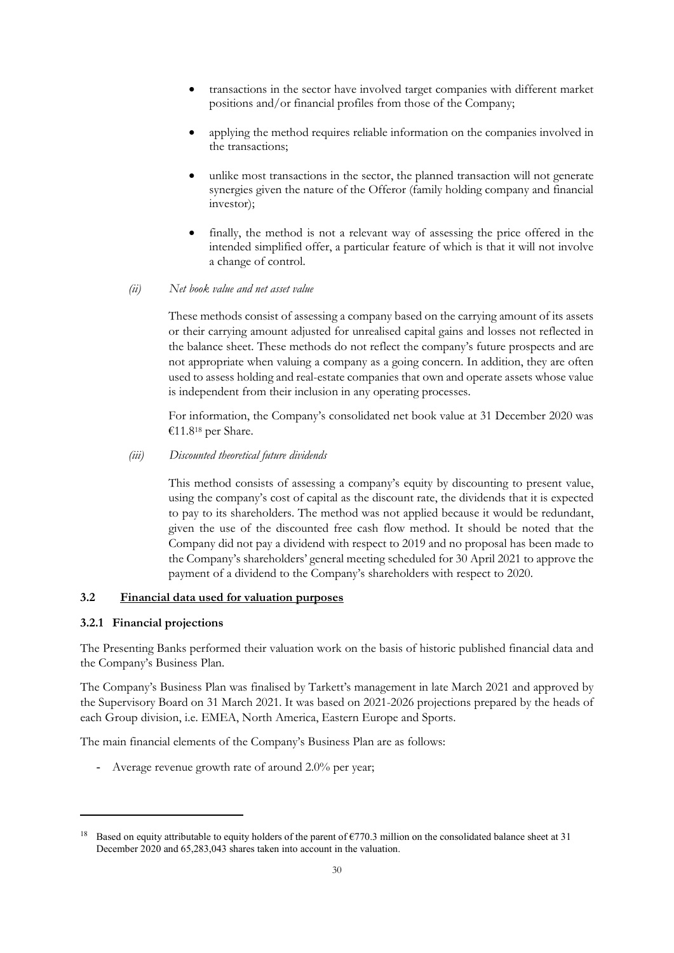- transactions in the sector have involved target companies with different market positions and/or financial profiles from those of the Company;
- applying the method requires reliable information on the companies involved in the transactions;
- unlike most transactions in the sector, the planned transaction will not generate synergies given the nature of the Offeror (family holding company and financial investor);
- finally, the method is not a relevant way of assessing the price offered in the intended simplified offer, a particular feature of which is that it will not involve a change of control.
- *(ii) Net book value and net asset value*

These methods consist of assessing a company based on the carrying amount of its assets or their carrying amount adjusted for unrealised capital gains and losses not reflected in the balance sheet. These methods do not reflect the company's future prospects and are not appropriate when valuing a company as a going concern. In addition, they are often used to assess holding and real-estate companies that own and operate assets whose value is independent from their inclusion in any operating processes.

For information, the Company's consolidated net book value at 31 December 2020 was €11.818 per Share.

#### *(iii) Discounted theoretical future dividends*

This method consists of assessing a company's equity by discounting to present value, using the company's cost of capital as the discount rate, the dividends that it is expected to pay to its shareholders. The method was not applied because it would be redundant, given the use of the discounted free cash flow method. It should be noted that the Company did not pay a dividend with respect to 2019 and no proposal has been made to the Company's shareholders' general meeting scheduled for 30 April 2021 to approve the payment of a dividend to the Company's shareholders with respect to 2020.

## **3.2 Financial data used for valuation purposes**

#### **3.2.1 Financial projections**

The Presenting Banks performed their valuation work on the basis of historic published financial data and the Company's Business Plan.

The Company's Business Plan was finalised by Tarkett's management in late March 2021 and approved by the Supervisory Board on 31 March 2021. It was based on 2021-2026 projections prepared by the heads of each Group division, i.e. EMEA, North America, Eastern Europe and Sports.

The main financial elements of the Company's Business Plan are as follows:

- Average revenue growth rate of around 2.0% per year;

<sup>&</sup>lt;sup>18</sup> Based on equity attributable to equity holders of the parent of  $\epsilon$ 770.3 million on the consolidated balance sheet at 31 December 2020 and 65,283,043 shares taken into account in the valuation.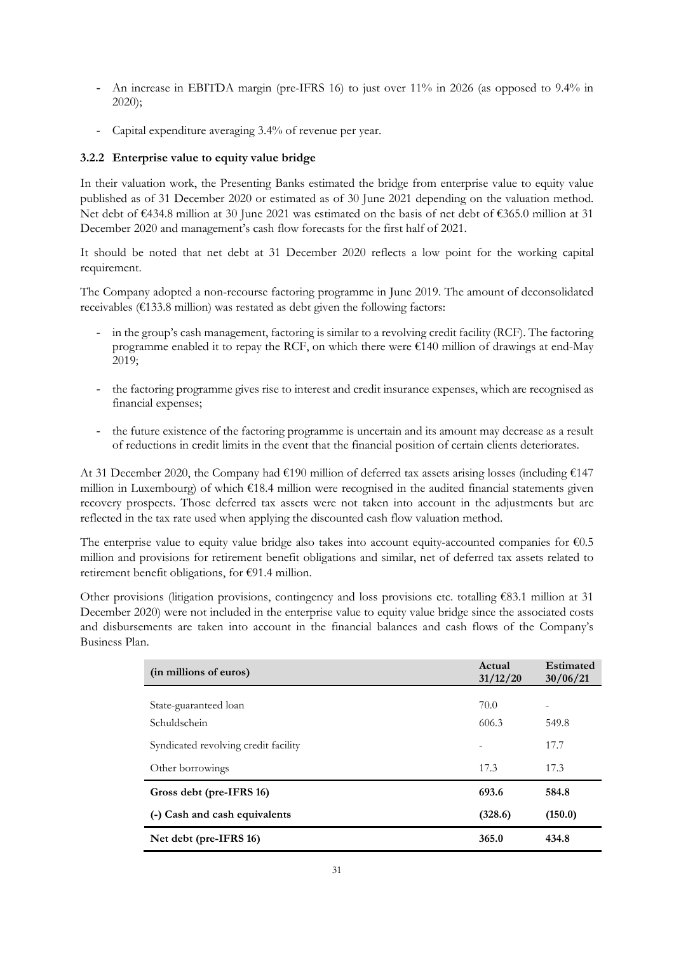- An increase in EBITDA margin (pre-IFRS 16) to just over 11% in 2026 (as opposed to 9.4% in 2020);
- Capital expenditure averaging 3.4% of revenue per year.

# **3.2.2 Enterprise value to equity value bridge**

In their valuation work, the Presenting Banks estimated the bridge from enterprise value to equity value published as of 31 December 2020 or estimated as of 30 June 2021 depending on the valuation method. Net debt of €434.8 million at 30 June 2021 was estimated on the basis of net debt of €365.0 million at 31 December 2020 and management's cash flow forecasts for the first half of 2021.

It should be noted that net debt at 31 December 2020 reflects a low point for the working capital requirement.

The Company adopted a non-recourse factoring programme in June 2019. The amount of deconsolidated receivables (€133.8 million) was restated as debt given the following factors:

- in the group's cash management, factoring is similar to a revolving credit facility (RCF). The factoring programme enabled it to repay the RCF, on which there were €140 million of drawings at end-May 2019;
- the factoring programme gives rise to interest and credit insurance expenses, which are recognised as financial expenses;
- the future existence of the factoring programme is uncertain and its amount may decrease as a result of reductions in credit limits in the event that the financial position of certain clients deteriorates.

At 31 December 2020, the Company had €190 million of deferred tax assets arising losses (including €147 million in Luxembourg) of which €18.4 million were recognised in the audited financial statements given recovery prospects. Those deferred tax assets were not taken into account in the adjustments but are reflected in the tax rate used when applying the discounted cash flow valuation method.

The enterprise value to equity value bridge also takes into account equity-accounted companies for €0.5 million and provisions for retirement benefit obligations and similar, net of deferred tax assets related to retirement benefit obligations, for €91.4 million.

Other provisions (litigation provisions, contingency and loss provisions etc. totalling €83.1 million at 31 December 2020) were not included in the enterprise value to equity value bridge since the associated costs and disbursements are taken into account in the financial balances and cash flows of the Company's Business Plan.

| (in millions of euros)                | Actual<br>31/12/20 | Estimated<br>30/06/21 |
|---------------------------------------|--------------------|-----------------------|
| State-guaranteed loan<br>Schuldschein | 70.0<br>606.3      | ۰<br>549.8            |
| Syndicated revolving credit facility  |                    | 17.7                  |
| Other borrowings                      | 17.3               | 17.3                  |
| Gross debt (pre-IFRS 16)              | 693.6              | 584.8                 |
| (-) Cash and cash equivalents         | (328.6)            | (150.0)               |
| Net debt (pre-IFRS 16)                | 365.0              | 434.8                 |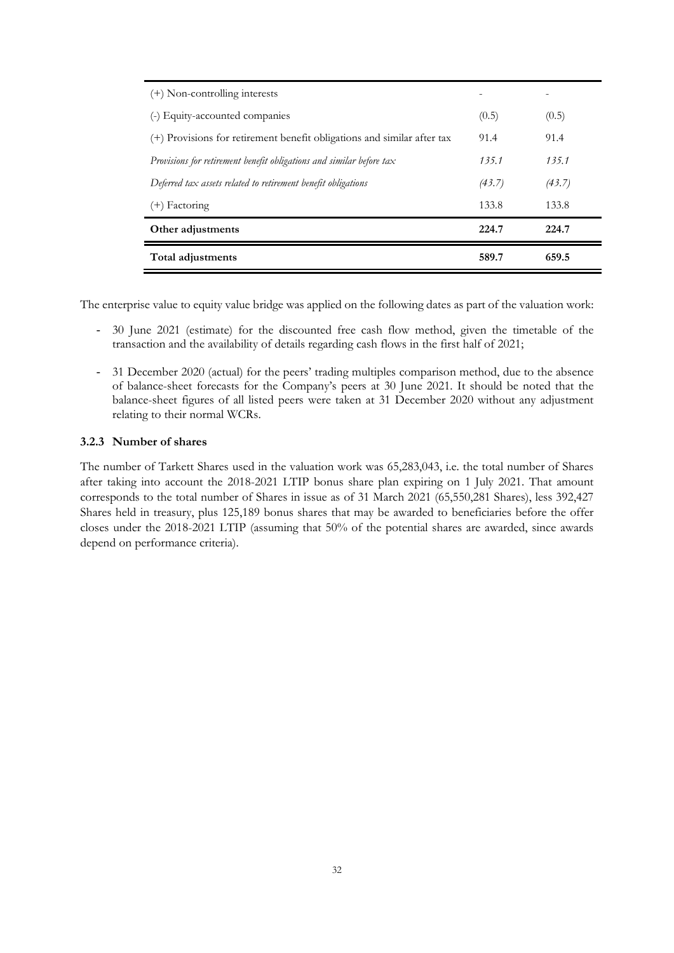| (+) Non-controlling interests                                           |        |        |
|-------------------------------------------------------------------------|--------|--------|
| (-) Equity-accounted companies                                          | (0.5)  | (0.5)  |
| (+) Provisions for retirement benefit obligations and similar after tax | 91.4   | 91.4   |
| Provisions for retirement benefit obligations and similar before tax    | 135.1  | 135.1  |
| Deferred tax assets related to retirement benefit obligations           | (43.7) | (43.7) |
| (+) Factoring                                                           | 133.8  | 133.8  |
| Other adjustments                                                       | 224.7  | 224.7  |
| <b>Total adjustments</b>                                                | 589.7  | 659.5  |

The enterprise value to equity value bridge was applied on the following dates as part of the valuation work:

- 30 June 2021 (estimate) for the discounted free cash flow method, given the timetable of the transaction and the availability of details regarding cash flows in the first half of 2021;
- 31 December 2020 (actual) for the peers' trading multiples comparison method, due to the absence of balance-sheet forecasts for the Company's peers at 30 June 2021. It should be noted that the balance-sheet figures of all listed peers were taken at 31 December 2020 without any adjustment relating to their normal WCRs.

#### **3.2.3 Number of shares**

The number of Tarkett Shares used in the valuation work was 65,283,043, i.e. the total number of Shares after taking into account the 2018-2021 LTIP bonus share plan expiring on 1 July 2021. That amount corresponds to the total number of Shares in issue as of 31 March 2021 (65,550,281 Shares), less 392,427 Shares held in treasury, plus 125,189 bonus shares that may be awarded to beneficiaries before the offer closes under the 2018-2021 LTIP (assuming that 50% of the potential shares are awarded, since awards depend on performance criteria).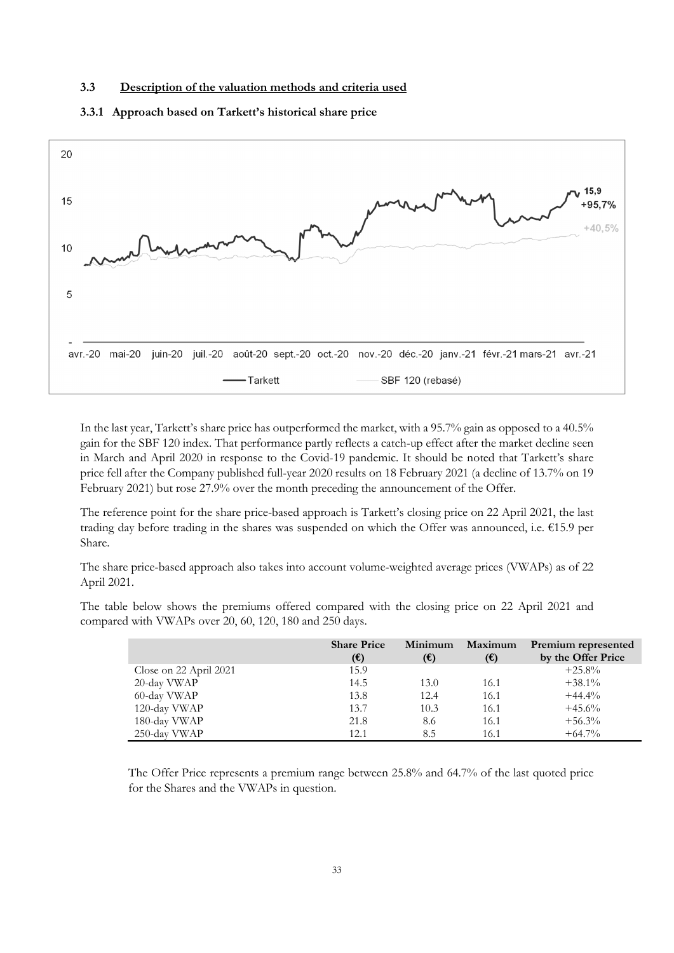#### **3.3 Description of the valuation methods and criteria used**



#### **3.3.1 Approach based on Tarkett's historical share price**

In the last year, Tarkett's share price has outperformed the market, with a 95.7% gain as opposed to a 40.5% gain for the SBF 120 index. That performance partly reflects a catch-up effect after the market decline seen in March and April 2020 in response to the Covid-19 pandemic. It should be noted that Tarkett's share price fell after the Company published full-year 2020 results on 18 February 2021 (a decline of 13.7% on 19 February 2021) but rose 27.9% over the month preceding the announcement of the Offer.

The reference point for the share price-based approach is Tarkett's closing price on 22 April 2021, the last trading day before trading in the shares was suspended on which the Offer was announced, i.e. €15.9 per Share.

The share price-based approach also takes into account volume-weighted average prices (VWAPs) as of 22 April 2021.

The table below shows the premiums offered compared with the closing price on 22 April 2021 and compared with VWAPs over 20, 60, 120, 180 and 250 days.

|                        | <b>Share Price</b><br>$(\mathbf{\epsilon})$ | Minimum<br>$(\mathbf{\epsilon})$ | Maximum<br>$(\mathbf{\epsilon})$ | Premium represented<br>by the Offer Price |
|------------------------|---------------------------------------------|----------------------------------|----------------------------------|-------------------------------------------|
| Close on 22 April 2021 | 15.9                                        |                                  |                                  | $+25.8\%$                                 |
| 20-day VWAP            | 14.5                                        | 13.0                             | 16.1                             | $+38.1\%$                                 |
| 60-day VWAP            | 13.8                                        | 12.4                             | 16.1                             | $+44.4%$                                  |
| 120-day VWAP           | 13.7                                        | 10.3                             | 16.1                             | $+45.6%$                                  |
| 180-day VWAP           | 21.8                                        | 8.6                              | 16.1                             | $+56.3%$                                  |
| 250-day VWAP           | 12.1                                        | 8.5                              | 16.1                             | $+64.7\%$                                 |

The Offer Price represents a premium range between 25.8% and 64.7% of the last quoted price for the Shares and the VWAPs in question.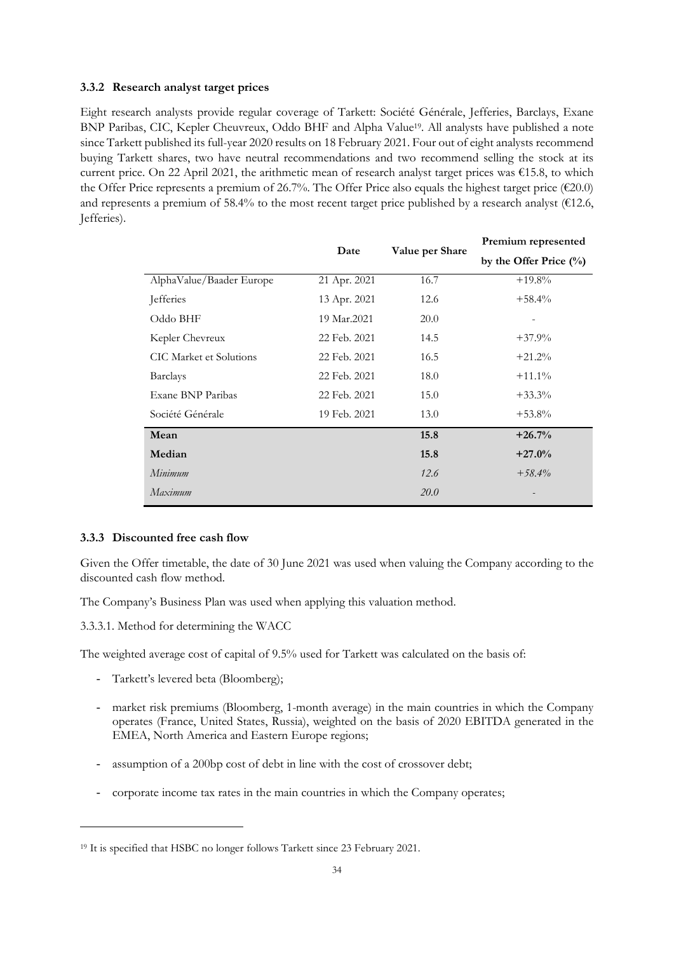#### **3.3.2 Research analyst target prices**

Eight research analysts provide regular coverage of Tarkett: Société Générale, Jefferies, Barclays, Exane BNP Paribas, CIC, Kepler Cheuvreux, Oddo BHF and Alpha Value<sup>19</sup>. All analysts have published a note since Tarkett published its full-year 2020 results on 18 February 2021. Four out of eight analysts recommend buying Tarkett shares, two have neutral recommendations and two recommend selling the stock at its current price. On 22 April 2021, the arithmetic mean of research analyst target prices was  $\epsilon$ 15.8, to which the Offer Price represents a premium of 26.7%. The Offer Price also equals the highest target price ( $E20.0$ ) and represents a premium of 58.4% to the most recent target price published by a research analyst ( $\epsilon$ 12.6, Jefferies).

|                          | Date         | Value per Share | I ICHIIUIII ICHICSCHICU   |
|--------------------------|--------------|-----------------|---------------------------|
|                          |              |                 | by the Offer Price $(\%)$ |
| AlphaValue/Baader Europe | 21 Apr. 2021 | 16.7            | $+19.8\%$                 |
| Jefferies                | 13 Apr. 2021 | 12.6            | $+58.4%$                  |
| Oddo BHF                 | 19 Mar.2021  | 20.0            |                           |
| Kepler Chevreux          | 22 Feb. 2021 | 14.5            | $+37.9%$                  |
| CIC Market et Solutions  | 22 Feb. 2021 | 16.5            | $+21.2%$                  |
| <b>Barclays</b>          | 22 Feb. 2021 | 18.0            | $+11.1\%$                 |
| Exane BNP Paribas        | 22 Feb. 2021 | 15.0            | $+33.3\%$                 |
| Société Générale         | 19 Feb. 2021 | 13.0            | $+53.8\%$                 |
| Mean                     |              | 15.8            | $+26.7%$                  |
| Median                   |              | 15.8            | $+27.0%$                  |
| Minimum                  |              | 12.6            | $+58.4\%$                 |
| Maximum                  |              | <i>20.0</i>     |                           |

**Premium represented** 

#### **3.3.3 Discounted free cash flow**

Given the Offer timetable, the date of 30 June 2021 was used when valuing the Company according to the discounted cash flow method.

The Company's Business Plan was used when applying this valuation method.

3.3.3.1. Method for determining the WACC

The weighted average cost of capital of 9.5% used for Tarkett was calculated on the basis of:

- Tarkett's levered beta (Bloomberg);
- market risk premiums (Bloomberg, 1-month average) in the main countries in which the Company operates (France, United States, Russia), weighted on the basis of 2020 EBITDA generated in the EMEA, North America and Eastern Europe regions;
- assumption of a 200 bp cost of debt in line with the cost of crossover debt;
- corporate income tax rates in the main countries in which the Company operates;

<sup>19</sup> It is specified that HSBC no longer follows Tarkett since 23 February 2021.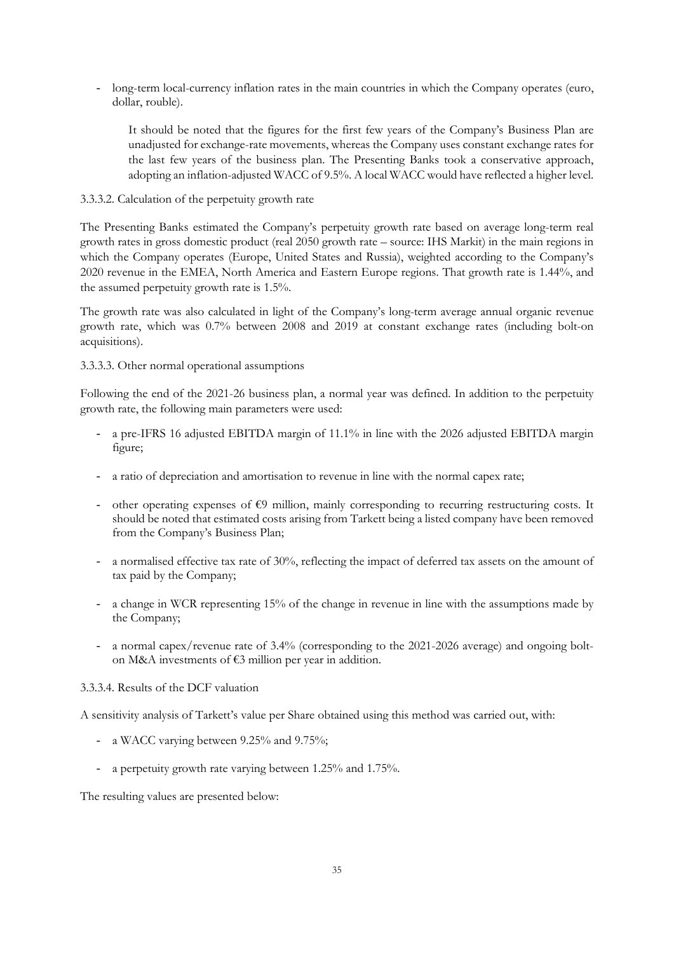- long-term local-currency inflation rates in the main countries in which the Company operates (euro, dollar, rouble).

It should be noted that the figures for the first few years of the Company's Business Plan are unadjusted for exchange-rate movements, whereas the Company uses constant exchange rates for the last few years of the business plan. The Presenting Banks took a conservative approach, adopting an inflation-adjusted WACC of 9.5%. A local WACC would have reflected a higher level.

#### 3.3.3.2. Calculation of the perpetuity growth rate

The Presenting Banks estimated the Company's perpetuity growth rate based on average long-term real growth rates in gross domestic product (real 2050 growth rate – source: IHS Markit) in the main regions in which the Company operates (Europe, United States and Russia), weighted according to the Company's 2020 revenue in the EMEA, North America and Eastern Europe regions. That growth rate is 1.44%, and the assumed perpetuity growth rate is 1.5%.

The growth rate was also calculated in light of the Company's long-term average annual organic revenue growth rate, which was 0.7% between 2008 and 2019 at constant exchange rates (including bolt-on acquisitions).

#### 3.3.3.3. Other normal operational assumptions

Following the end of the 2021-26 business plan, a normal year was defined. In addition to the perpetuity growth rate, the following main parameters were used:

- a pre-IFRS 16 adjusted EBITDA margin of 11.1% in line with the 2026 adjusted EBITDA margin figure;
- a ratio of depreciation and amortisation to revenue in line with the normal capex rate;
- other operating expenses of  $\epsilon$ 9 million, mainly corresponding to recurring restructuring costs. It should be noted that estimated costs arising from Tarkett being a listed company have been removed from the Company's Business Plan;
- a normalised effective tax rate of 30%, reflecting the impact of deferred tax assets on the amount of tax paid by the Company;
- a change in WCR representing 15% of the change in revenue in line with the assumptions made by the Company;
- a normal capex/revenue rate of 3.4% (corresponding to the 2021-2026 average) and ongoing bolton M&A investments of €3 million per year in addition.

## 3.3.3.4. Results of the DCF valuation

A sensitivity analysis of Tarkett's value per Share obtained using this method was carried out, with:

- a WACC varying between 9.25% and 9.75%;
- a perpetuity growth rate varying between 1.25% and 1.75%.

The resulting values are presented below: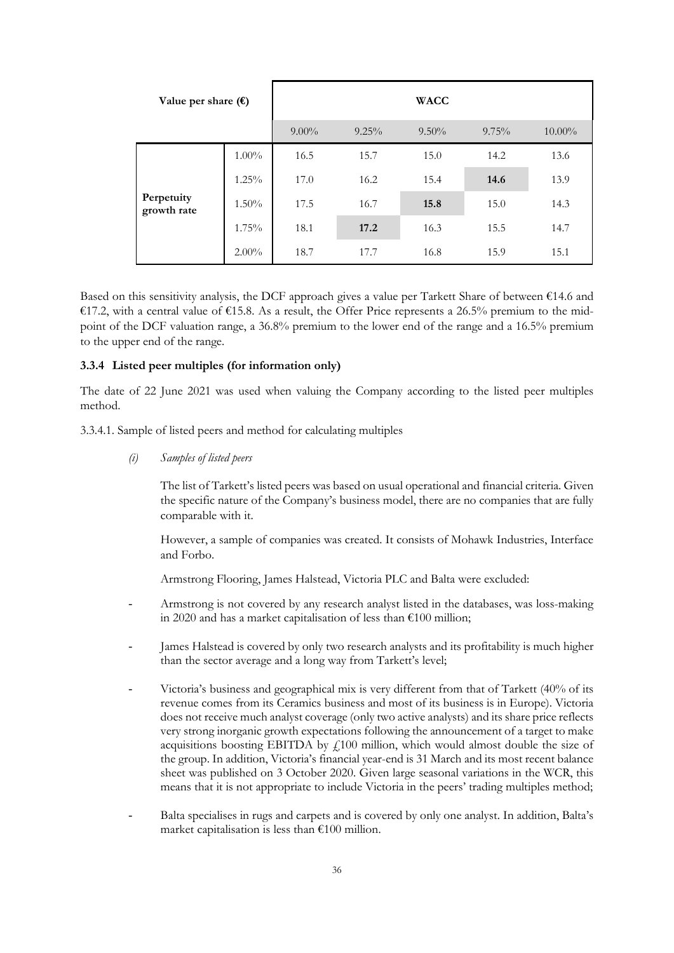| Value per share $(\epsilon)$ |          |          |       | <b>WACC</b> |          |           |
|------------------------------|----------|----------|-------|-------------|----------|-----------|
|                              |          | $9.00\%$ | 9.25% | $9.50\%$    | $9.75\%$ | $10.00\%$ |
|                              | $1.00\%$ | 16.5     | 15.7  | 15.0        | 14.2     | 13.6      |
|                              | $1.25\%$ | 17.0     | 16.2  | 15.4        | 14.6     | 13.9      |
| Perpetuity<br>growth rate    | $1.50\%$ | 17.5     | 16.7  | 15.8        | 15.0     | 14.3      |
|                              | 1.75%    | 18.1     | 17.2  | 16.3        | 15.5     | 14.7      |
|                              | $2.00\%$ | 18.7     | 17.7  | 16.8        | 15.9     | 15.1      |

Based on this sensitivity analysis, the DCF approach gives a value per Tarkett Share of between €14.6 and €17.2, with a central value of €15.8. As a result, the Offer Price represents a 26.5% premium to the midpoint of the DCF valuation range, a 36.8% premium to the lower end of the range and a 16.5% premium to the upper end of the range.

#### **3.3.4 Listed peer multiples (for information only)**

The date of 22 June 2021 was used when valuing the Company according to the listed peer multiples method.

3.3.4.1. Sample of listed peers and method for calculating multiples

*(i) Samples of listed peers* 

The list of Tarkett's listed peers was based on usual operational and financial criteria. Given the specific nature of the Company's business model, there are no companies that are fully comparable with it.

However, a sample of companies was created. It consists of Mohawk Industries, Interface and Forbo.

Armstrong Flooring, James Halstead, Victoria PLC and Balta were excluded:

- Armstrong is not covered by any research analyst listed in the databases, was loss-making in 2020 and has a market capitalisation of less than €100 million;
- James Halstead is covered by only two research analysts and its profitability is much higher than the sector average and a long way from Tarkett's level;
- Victoria's business and geographical mix is very different from that of Tarkett (40% of its revenue comes from its Ceramics business and most of its business is in Europe). Victoria does not receive much analyst coverage (only two active analysts) and its share price reflects very strong inorganic growth expectations following the announcement of a target to make acquisitions boosting EBITDA by  $f_1100$  million, which would almost double the size of the group. In addition, Victoria's financial year-end is 31 March and its most recent balance sheet was published on 3 October 2020. Given large seasonal variations in the WCR, this means that it is not appropriate to include Victoria in the peers' trading multiples method;
- Balta specialises in rugs and carpets and is covered by only one analyst. In addition, Balta's market capitalisation is less than  $£100$  million.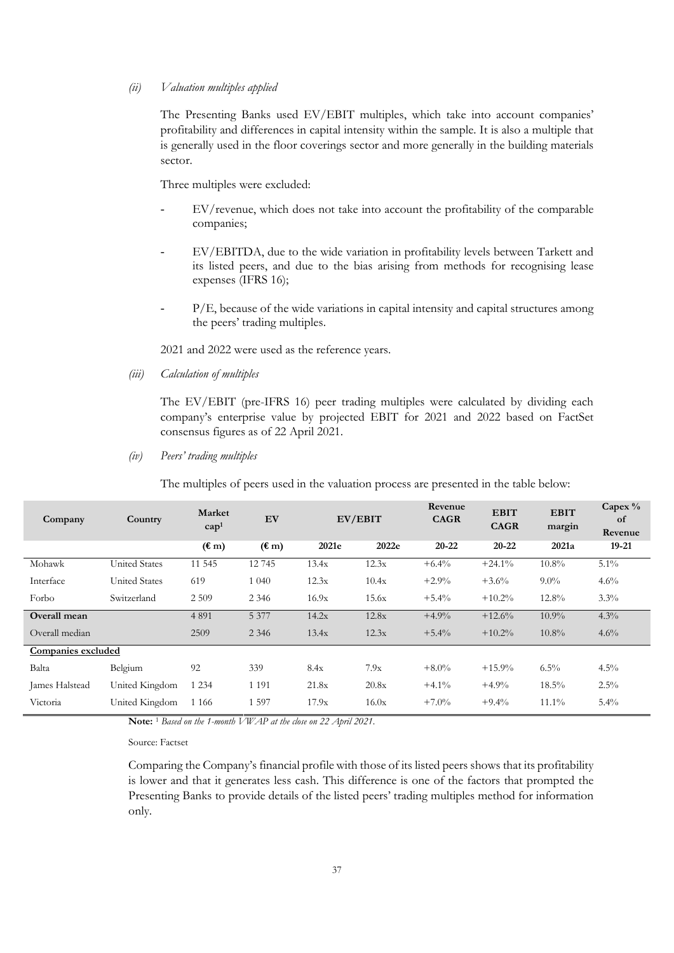#### *(ii) Valuation multiples applied*

The Presenting Banks used EV/EBIT multiples, which take into account companies' profitability and differences in capital intensity within the sample. It is also a multiple that is generally used in the floor coverings sector and more generally in the building materials sector.

Three multiples were excluded:

- EV/revenue, which does not take into account the profitability of the comparable companies;
- EV/EBITDA, due to the wide variation in profitability levels between Tarkett and its listed peers, and due to the bias arising from methods for recognising lease expenses (IFRS 16);
- P/E, because of the wide variations in capital intensity and capital structures among the peers' trading multiples.

2021 and 2022 were used as the reference years.

*(iii) Calculation of multiples* 

The EV/EBIT (pre-IFRS 16) peer trading multiples were calculated by dividing each company's enterprise value by projected EBIT for 2021 and 2022 based on FactSet consensus figures as of 22 April 2021.

*(iv) Peers' trading multiples* 

The multiples of peers used in the valuation process are presented in the table below:

| Company            | Country              | Market<br>cap <sup>1</sup> | EV             |       | EV/EBIT | Revenue<br><b>CAGR</b> | <b>EBIT</b><br><b>CAGR</b> | <b>EBIT</b><br>margin | Capex $\%$<br>of<br>Revenue |
|--------------------|----------------------|----------------------------|----------------|-------|---------|------------------------|----------------------------|-----------------------|-----------------------------|
|                    |                      | $(\mathbf{m})$             | $(\mathbf{m})$ | 2021e | 2022e   | $20 - 22$              | $20 - 22$                  | 2021a                 | $19 - 21$                   |
| Mohawk             | <b>United States</b> | 11 545                     | 12745          | 13.4x | 12.3x   | $+6.4%$                | $+24.1%$                   | $10.8\%$              | $5.1\%$                     |
| Interface          | <b>United States</b> | 619                        | 1 040          | 12.3x | 10.4x   | $+2.9%$                | $+3.6%$                    | $9.0\%$               | $4.6\%$                     |
| Forbo              | Switzerland          | 2 5 0 9                    | 2 3 4 6        | 16.9x | 15.6x   | $+5.4\%$               | $+10.2%$                   | $12.8\%$              | $3.3\%$                     |
| Overall mean       |                      | 4 8 9 1                    | 5 3 7 7        | 14.2x | 12.8x   | $+4.9%$                | $+12.6%$                   | $10.9\%$              | $4.3\%$                     |
| Overall median     |                      | 2509                       | 2 3 4 6        | 13.4x | 12.3x   | $+5.4%$                | $+10.2%$                   | $10.8\%$              | 4.6%                        |
| Companies excluded |                      |                            |                |       |         |                        |                            |                       |                             |
| Balta              | Belgium              | 92                         | 339            | 8.4x  | 7.9x    | $+8.0\%$               | $+15.9%$                   | $6.5\%$               | $4.5\%$                     |
| James Halstead     | United Kingdom       | 1 2 3 4                    | 1 1 9 1        | 21.8x | 20.8x   | $+4.1%$                | $+4.9%$                    | $18.5\%$              | $2.5\%$                     |
| Victoria           | United Kingdom       | 1 1 6 6                    | 1 5 9 7        | 17.9x | 16.0x   | $+7.0%$                | $+9.4%$                    | $11.1\%$              | $5.4\%$                     |

**Note:** <sup>1</sup> *Based on the 1-month VWAP at the close on 22 April 2021*.

Source: Factset

Comparing the Company's financial profile with those of its listed peers shows that its profitability is lower and that it generates less cash. This difference is one of the factors that prompted the Presenting Banks to provide details of the listed peers' trading multiples method for information only.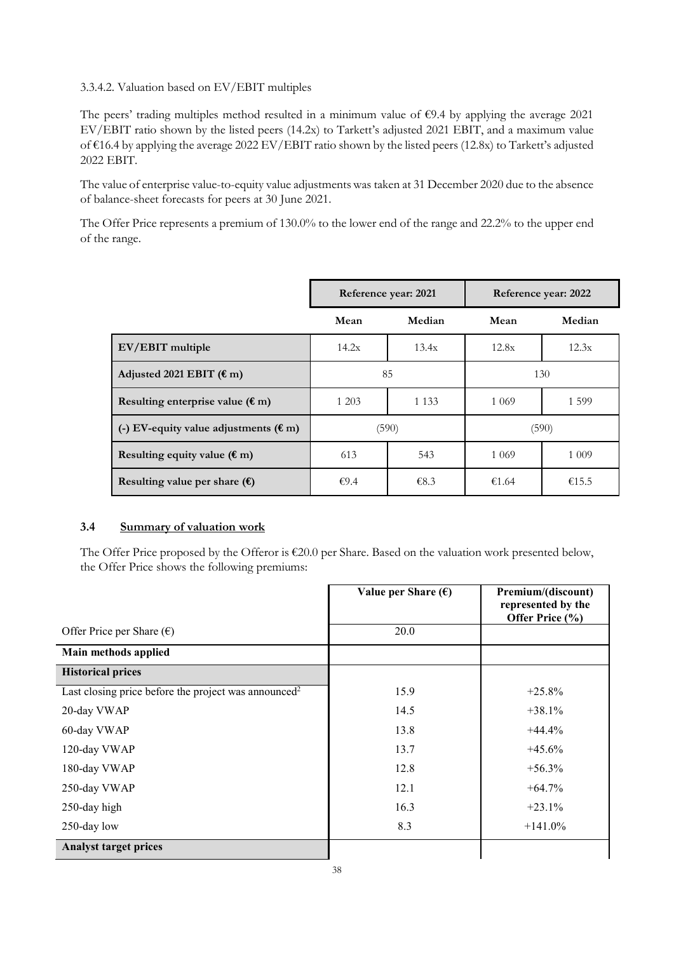## 3.3.4.2. Valuation based on EV/EBIT multiples

The peers' trading multiples method resulted in a minimum value of €9.4 by applying the average 2021 EV/EBIT ratio shown by the listed peers (14.2x) to Tarkett's adjusted 2021 EBIT, and a maximum value of €16.4 by applying the average 2022 EV/EBIT ratio shown by the listed peers (12.8x) to Tarkett's adjusted 2022 EBIT.

The value of enterprise value-to-equity value adjustments was taken at 31 December 2020 due to the absence of balance-sheet forecasts for peers at 30 June 2021.

The Offer Price represents a premium of 130.0% to the lower end of the range and 22.2% to the upper end of the range.

|                                                 | Reference year: 2021 |        | Reference year: 2022 |         |
|-------------------------------------------------|----------------------|--------|----------------------|---------|
|                                                 | Mean                 | Median | Mean                 | Median  |
| EV/EBIT multiple                                | 14.2x                | 13.4x  | 12.8x                | 12.3x   |
| Adjusted 2021 EBIT $(\epsilon m)$               | 85                   |        | 130                  |         |
| Resulting enterprise value $(\epsilon m)$       | 1 2 0 3<br>1 1 3 3   |        | 1 0 6 9              | 1 5 9 9 |
| (-) EV-equity value adjustments ( $\epsilon$ m) | (590)                |        | (590)                |         |
| Resulting equity value $(\epsilon m)$           | 613<br>543           |        | 1 0 6 9              | 1 0 0 9 |
| Resulting value per share $(\epsilon)$          | €9.4                 | €8.3   | €1.64                | €15.5   |

## **3.4 Summary of valuation work**

The Offer Price proposed by the Offeror is  $\epsilon$ 20.0 per Share. Based on the valuation work presented below, the Offer Price shows the following premiums:

|                                                                  | Value per Share $(\epsilon)$ | Premium/(discount)<br>represented by the<br>Offer Price (%) |
|------------------------------------------------------------------|------------------------------|-------------------------------------------------------------|
| Offer Price per Share $(\epsilon)$                               | 20.0                         |                                                             |
| Main methods applied                                             |                              |                                                             |
| <b>Historical prices</b>                                         |                              |                                                             |
| Last closing price before the project was announced <sup>2</sup> | 15.9                         | $+25.8%$                                                    |
| 20-day VWAP                                                      | 14.5                         | $+38.1%$                                                    |
| 60-day VWAP                                                      | 13.8                         | $+44.4%$                                                    |
| 120-day VWAP                                                     | 13.7                         | $+45.6%$                                                    |
| 180-day VWAP                                                     | 12.8                         | $+56.3\%$                                                   |
| 250-day VWAP                                                     | 12.1                         | $+64.7%$                                                    |
| 250-day high                                                     | 16.3                         | $+23.1%$                                                    |
| 250-day low                                                      | 8.3                          | $+141.0\%$                                                  |
| <b>Analyst target prices</b>                                     |                              |                                                             |